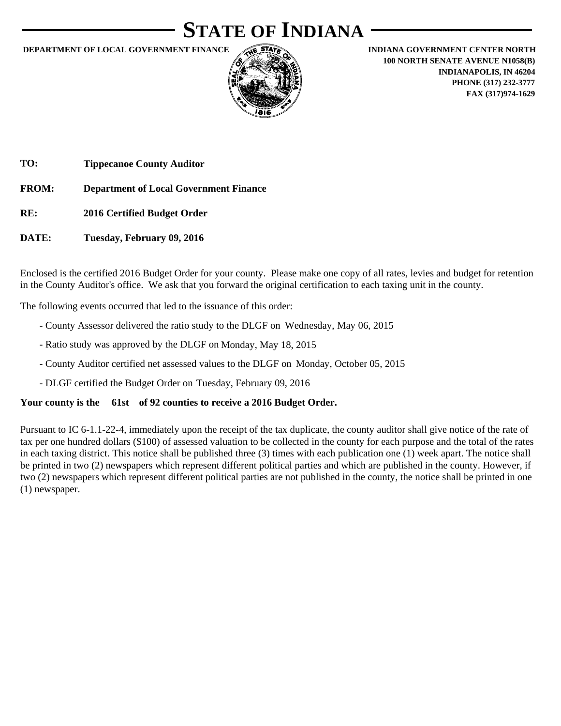# **STATE OF INDIANA**

**DEPARTMENT OF LOCAL GOVERNMENT FINANCE ARE STATE INDIANA GOVERNMENT CENTER NORTH** 



**100 NORTH SENATE AVENUE N1058(B) INDIANAPOLIS, IN 46204 PHONE (317) 232-3777 FAX (317)974-1629**

**TO: Tippecanoe County Auditor**

**FROM: Department of Local Government Finance**

- **RE: 2016 Certified Budget Order**
- **DATE: Tuesday, February 09, 2016**

Enclosed is the certified 2016 Budget Order for your county. Please make one copy of all rates, levies and budget for retention in the County Auditor's office. We ask that you forward the original certification to each taxing unit in the county.

The following events occurred that led to the issuance of this order:

- County Assessor delivered the ratio study to the DLGF on Wednesday, May 06, 2015
- Ratio study was approved by the DLGF on Monday, May 18, 2015
- County Auditor certified net assessed values to the DLGF on Monday, October 05, 2015
- DLGF certified the Budget Order on Tuesday, February 09, 2016

#### **Your county is the 61st of 92 counties to receive a 2016 Budget Order.**

Pursuant to IC 6-1.1-22-4, immediately upon the receipt of the tax duplicate, the county auditor shall give notice of the rate of tax per one hundred dollars (\$100) of assessed valuation to be collected in the county for each purpose and the total of the rates in each taxing district. This notice shall be published three (3) times with each publication one (1) week apart. The notice shall be printed in two (2) newspapers which represent different political parties and which are published in the county. However, if two (2) newspapers which represent different political parties are not published in the county, the notice shall be printed in one (1) newspaper.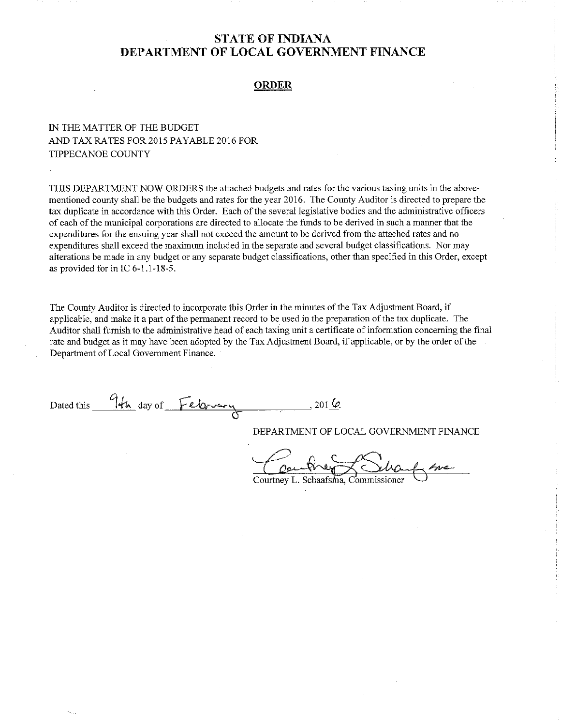#### **ORDER**

#### IN THE MATTER OF THE BUDGET AND TAX RATES FOR 2015 PAYABLE 2016 FOR **TIPPECANOE COUNTY**

THIS DEPARTMENT NOW ORDERS the attached budgets and rates for the various taxing units in the abovementioned county shall be the budgets and rates for the year 2016. The County Auditor is directed to prepare the tax duplicate in accordance with this Order. Each of the several legislative bodies and the administrative officers of each of the municipal corporations are directed to allocate the funds to be derived in such a manner that the expenditures for the ensuing year shall not exceed the amount to be derived from the attached rates and no expenditures shall exceed the maximum included in the separate and several budget classifications. Nor may alterations be made in any budget or any separate budget classifications, other than specified in this Order, except as provided for in IC 6-1.1-18-5.

The County Auditor is directed to incorporate this Order in the minutes of the Tax Adjustment Board, if applicable, and make it a part of the permanent record to be used in the preparation of the tax duplicate. The Auditor shall furnish to the administrative head of each taxing unit a certificate of information concerning the final rate and budget as it may have been adopted by the Tax Adjustment Board, if applicable, or by the order of the Department of Local Government Finance.

Dated this 9th day of February . 201 G

DEPARTMENT OF LOCAL GOVERNMENT FINANCE

Courtney L. Schaafsma, Commissioner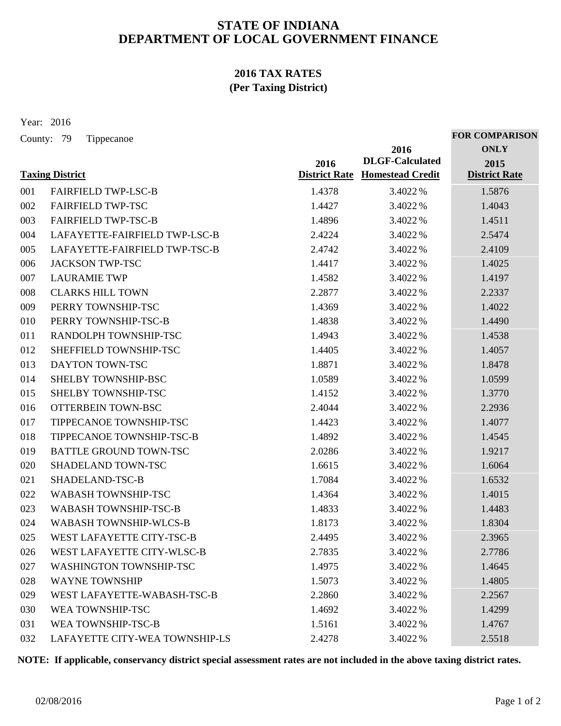### **2016 TAX RATES (Per Taxing District)**

Year: 2016

County: 79 Tippecanoe

|     |                                  |                              | 2016<br><b>DLGF-Calculated</b> | <b>ONLY</b>                  |
|-----|----------------------------------|------------------------------|--------------------------------|------------------------------|
|     | <b>Taxing District</b>           | 2016<br><b>District Rate</b> | <b>Homestead Credit</b>        | 2015<br><b>District Rate</b> |
| 001 | <b>FAIRFIELD TWP-LSC-B</b>       | 1.4378                       | 3.4022 %                       | 1.5876                       |
| 002 | <b>FAIRFIELD TWP-TSC</b>         | 1.4427                       | 3.4022 %                       | 1.4043                       |
| 003 | <b>FAIRFIELD TWP-TSC-B</b>       | 1.4896                       | 3.4022 %                       | 1.4511                       |
| 004 | LAFAYETTE-FAIRFIELD TWP-LSC-B    | 2.4224                       | 3.4022 %                       | 2.5474                       |
| 005 | LAFAYETTE-FAIRFIELD TWP-TSC-B    | 2.4742                       | 3.4022 %                       | 2.4109                       |
| 006 | <b>JACKSON TWP-TSC</b>           | 1.4417                       | 3.4022 %                       | 1.4025                       |
| 007 | <b>LAURAMIE TWP</b>              | 1.4582                       | 3.4022 %                       | 1.4197                       |
| 008 | <b>CLARKS HILL TOWN</b>          | 2.2877                       | 3.4022 %                       | 2.2337                       |
| 009 | PERRY TOWNSHIP-TSC               | 1.4369                       | 3.4022 %                       | 1.4022                       |
| 010 | PERRY TOWNSHIP-TSC-B             | 1.4838                       | 3.4022%                        | 1.4490                       |
| 011 | RANDOLPH TOWNSHIP-TSC            | 1.4943                       | 3.4022 %                       | 1.4538                       |
| 012 | SHEFFIELD TOWNSHIP-TSC           | 1.4405                       | 3.4022 %                       | 1.4057                       |
| 013 | <b>DAYTON TOWN-TSC</b>           | 1.8871                       | 3.4022 %                       | 1.8478                       |
| 014 | SHELBY TOWNSHIP-BSC              | 1.0589                       | 3.4022 %                       | 1.0599                       |
| 015 | SHELBY TOWNSHIP-TSC              | 1.4152                       | 3.4022 %                       | 1.3770                       |
| 016 | OTTERBEIN TOWN-BSC               | 2.4044                       | 3.4022 %                       | 2.2936                       |
| 017 | TIPPECANOE TOWNSHIP-TSC          | 1.4423                       | 3.4022 %                       | 1.4077                       |
| 018 | TIPPECANOE TOWNSHIP-TSC-B        | 1.4892                       | 3.4022 %                       | 1.4545                       |
| 019 | <b>BATTLE GROUND TOWN-TSC</b>    | 2.0286                       | 3.4022 %                       | 1.9217                       |
| 020 | SHADELAND TOWN-TSC               | 1.6615                       | 3.4022 %                       | 1.6064                       |
| 021 | SHADELAND-TSC-B                  | 1.7084                       | 3.4022 %                       | 1.6532                       |
| 022 | WABASH TOWNSHIP-TSC              | 1.4364                       | 3.4022 %                       | 1.4015                       |
| 023 | WABASH TOWNSHIP-TSC-B            | 1.4833                       | 3.4022 %                       | 1.4483                       |
| 024 | <b>WABASH TOWNSHIP-WLCS-B</b>    | 1.8173                       | 3.4022 %                       | 1.8304                       |
| 025 | <b>WEST LAFAYETTE CITY-TSC-B</b> | 2.4495                       | 3.4022 %                       | 2.3965                       |
| 026 | WEST LAFAYETTE CITY-WLSC-B       | 2.7835                       | 3.4022 %                       | 2.7786                       |
| 027 | WASHINGTON TOWNSHIP-TSC          | 1.4975                       | 3.4022 %                       | 1.4645                       |
| 028 | <b>WAYNE TOWNSHIP</b>            | 1.5073                       | 3.4022 %                       | 1.4805                       |
| 029 | WEST LAFAYETTE-WABASH-TSC-B      | 2.2860                       | 3.4022 %                       | 2.2567                       |
| 030 | WEA TOWNSHIP-TSC                 | 1.4692                       | 3.4022 %                       | 1.4299                       |
| 031 | WEA TOWNSHIP-TSC-B               | 1.5161                       | 3.4022 %                       | 1.4767                       |
| 032 | LAFAYETTE CITY-WEA TOWNSHIP-LS   | 2.4278                       | 3.4022%                        | 2.5518                       |

**NOTE: If applicable, conservancy district special assessment rates are not included in the above taxing district rates.**

**FOR COMPARISON**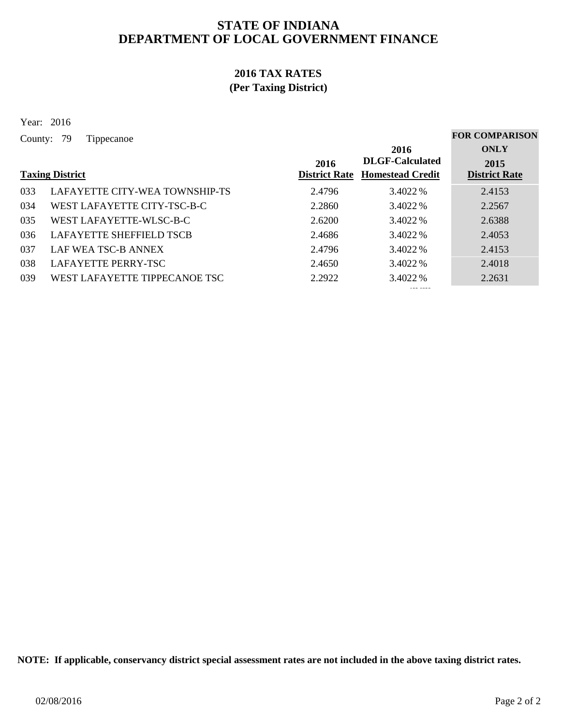### **2016 TAX RATES (Per Taxing District)**

Year: 2016

County: 79 Tippecanoe

|     | 2016<br><b>DLGF-Calculated</b><br>2016<br><b>District Rate</b><br><b>Taxing District</b><br><b>Homestead Credit</b> |        | <b>ONLY</b><br>2015<br><b>District Rate</b> |        |
|-----|---------------------------------------------------------------------------------------------------------------------|--------|---------------------------------------------|--------|
| 033 | LAFAYETTE CITY-WEA TOWNSHIP-TS                                                                                      | 2.4796 | 3.4022 %                                    | 2.4153 |
| 034 | WEST LAFAYETTE CITY-TSC-B-C                                                                                         | 2.2860 | 3.4022 %                                    | 2.2567 |
| 035 | WEST LAFAYETTE-WLSC-B-C                                                                                             | 2.6200 | 3.4022 %                                    | 2.6388 |
| 036 | <b>LAFAYETTE SHEFFIELD TSCB</b>                                                                                     | 2.4686 | 3.4022 %                                    | 2.4053 |
| 037 | LAF WEA TSC-B ANNEX                                                                                                 | 2.4796 | 3.4022 %                                    | 2.4153 |
| 038 | <b>LAFAYETTE PERRY-TSC</b>                                                                                          | 2.4650 | 3.4022 %                                    | 2.4018 |
| 039 | WEST LAFAYETTE TIPPECANOE TSC                                                                                       | 2.2922 | 3.4022 %                                    | 2.2631 |

**NOTE: If applicable, conservancy district special assessment rates are not included in the above taxing district rates.**

**FOR COMPARISON**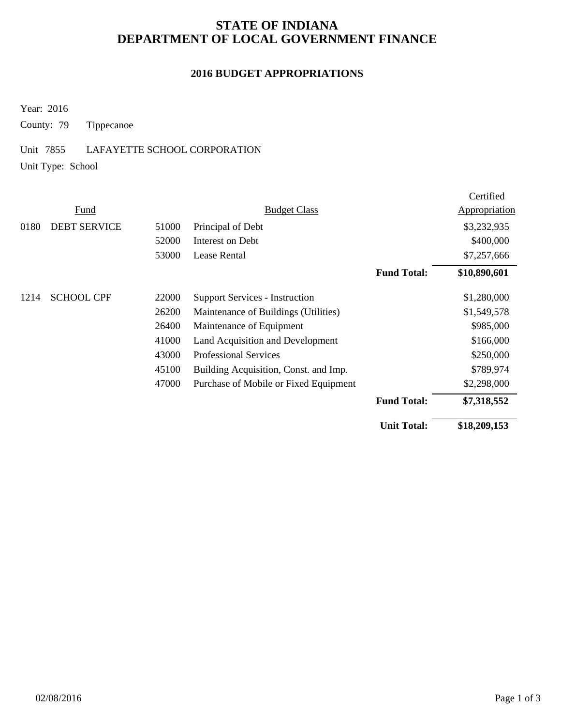#### **2016 BUDGET APPROPRIATIONS**

Year: 2016

County: 79 Tippecanoe

#### Unit 7855 LAFAYETTE SCHOOL CORPORATION

Unit Type: School

|      |                     |       |                                       |                    | Certified     |
|------|---------------------|-------|---------------------------------------|--------------------|---------------|
|      | Fund                |       | <b>Budget Class</b>                   |                    | Appropriation |
| 0180 | <b>DEBT SERVICE</b> | 51000 | Principal of Debt                     |                    | \$3,232,935   |
|      |                     | 52000 | Interest on Debt                      |                    | \$400,000     |
|      |                     | 53000 | Lease Rental                          |                    | \$7,257,666   |
|      |                     |       |                                       | <b>Fund Total:</b> | \$10,890,601  |
| 1214 | <b>SCHOOL CPF</b>   | 22000 | <b>Support Services - Instruction</b> |                    | \$1,280,000   |
|      |                     | 26200 | Maintenance of Buildings (Utilities)  |                    | \$1,549,578   |
|      |                     | 26400 | Maintenance of Equipment              |                    | \$985,000     |
|      |                     | 41000 | Land Acquisition and Development      |                    | \$166,000     |
|      |                     | 43000 | <b>Professional Services</b>          |                    | \$250,000     |
|      |                     | 45100 | Building Acquisition, Const. and Imp. |                    | \$789,974     |
|      |                     | 47000 | Purchase of Mobile or Fixed Equipment |                    | \$2,298,000   |
|      |                     |       |                                       | <b>Fund Total:</b> | \$7,318,552   |
|      |                     |       |                                       | <b>Unit Total:</b> | \$18,209,153  |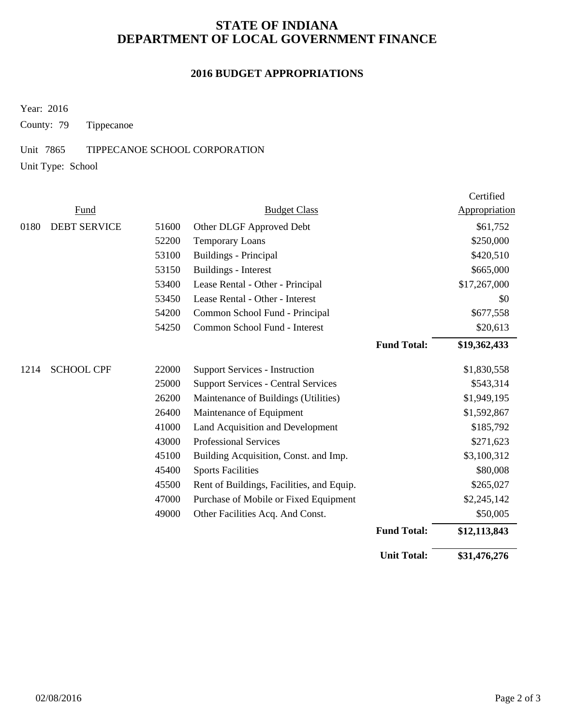#### **2016 BUDGET APPROPRIATIONS**

Year: 2016

County: 79 Tippecanoe

#### Unit 7865 TIPPECANOE SCHOOL CORPORATION

Unit Type: School

|      |                     |       |                                            |                    | Certified     |
|------|---------------------|-------|--------------------------------------------|--------------------|---------------|
|      | <b>Fund</b>         |       | <b>Budget Class</b>                        |                    | Appropriation |
| 0180 | <b>DEBT SERVICE</b> | 51600 | Other DLGF Approved Debt                   |                    | \$61,752      |
|      |                     | 52200 | <b>Temporary Loans</b>                     |                    | \$250,000     |
|      |                     | 53100 | Buildings - Principal                      |                    | \$420,510     |
|      |                     | 53150 | <b>Buildings - Interest</b>                |                    | \$665,000     |
|      |                     | 53400 | Lease Rental - Other - Principal           |                    | \$17,267,000  |
|      |                     | 53450 | Lease Rental - Other - Interest            |                    | \$0           |
|      |                     | 54200 | Common School Fund - Principal             |                    | \$677,558     |
|      |                     | 54250 | Common School Fund - Interest              |                    | \$20,613      |
|      |                     |       |                                            | <b>Fund Total:</b> | \$19,362,433  |
| 1214 | <b>SCHOOL CPF</b>   | 22000 | <b>Support Services - Instruction</b>      |                    | \$1,830,558   |
|      |                     | 25000 | <b>Support Services - Central Services</b> |                    | \$543,314     |
|      |                     | 26200 | Maintenance of Buildings (Utilities)       |                    | \$1,949,195   |
|      |                     | 26400 | Maintenance of Equipment                   |                    | \$1,592,867   |
|      |                     | 41000 | Land Acquisition and Development           |                    | \$185,792     |
|      |                     | 43000 | <b>Professional Services</b>               |                    | \$271,623     |
|      |                     | 45100 | Building Acquisition, Const. and Imp.      |                    | \$3,100,312   |
|      |                     | 45400 | <b>Sports Facilities</b>                   |                    | \$80,008      |
|      |                     | 45500 | Rent of Buildings, Facilities, and Equip.  |                    | \$265,027     |
|      |                     | 47000 | Purchase of Mobile or Fixed Equipment      |                    | \$2,245,142   |
|      |                     | 49000 | Other Facilities Acq. And Const.           |                    | \$50,005      |
|      |                     |       |                                            | <b>Fund Total:</b> | \$12,113,843  |
|      |                     |       |                                            | <b>Unit Total:</b> | \$31,476,276  |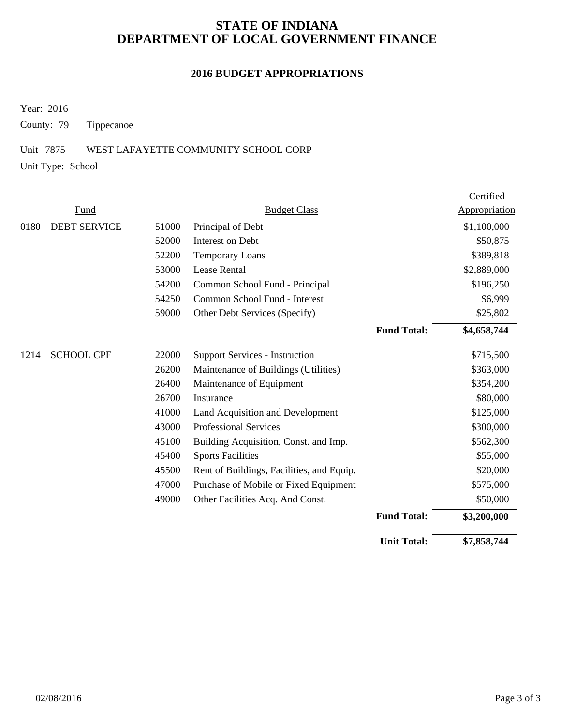#### **2016 BUDGET APPROPRIATIONS**

Year: 2016

County: 79 Tippecanoe

#### Unit 7875 WEST LAFAYETTE COMMUNITY SCHOOL CORP

Unit Type: School

|      |                     |       |                                           |                    | Certified            |
|------|---------------------|-------|-------------------------------------------|--------------------|----------------------|
|      | Fund                |       | <b>Budget Class</b>                       |                    | <b>Appropriation</b> |
| 0180 | <b>DEBT SERVICE</b> | 51000 | Principal of Debt                         |                    | \$1,100,000          |
|      |                     | 52000 | Interest on Debt                          |                    | \$50,875             |
|      |                     | 52200 | <b>Temporary Loans</b>                    |                    | \$389,818            |
|      |                     | 53000 | <b>Lease Rental</b>                       |                    | \$2,889,000          |
|      |                     | 54200 | Common School Fund - Principal            |                    | \$196,250            |
|      |                     | 54250 | Common School Fund - Interest             |                    | \$6,999              |
|      |                     | 59000 | Other Debt Services (Specify)             |                    | \$25,802             |
|      |                     |       |                                           | <b>Fund Total:</b> | \$4,658,744          |
| 1214 | <b>SCHOOL CPF</b>   | 22000 | <b>Support Services - Instruction</b>     |                    | \$715,500            |
|      |                     | 26200 | Maintenance of Buildings (Utilities)      |                    | \$363,000            |
|      |                     | 26400 | Maintenance of Equipment                  |                    | \$354,200            |
|      |                     | 26700 | Insurance                                 |                    | \$80,000             |
|      |                     | 41000 | Land Acquisition and Development          |                    | \$125,000            |
|      |                     | 43000 | <b>Professional Services</b>              |                    | \$300,000            |
|      |                     | 45100 | Building Acquisition, Const. and Imp.     |                    | \$562,300            |
|      |                     | 45400 | <b>Sports Facilities</b>                  |                    | \$55,000             |
|      |                     | 45500 | Rent of Buildings, Facilities, and Equip. |                    | \$20,000             |
|      |                     | 47000 | Purchase of Mobile or Fixed Equipment     |                    | \$575,000            |
|      |                     | 49000 | Other Facilities Acq. And Const.          |                    | \$50,000             |
|      |                     |       |                                           | <b>Fund Total:</b> | \$3,200,000          |
|      |                     |       |                                           | <b>Unit Total:</b> | \$7,858,744          |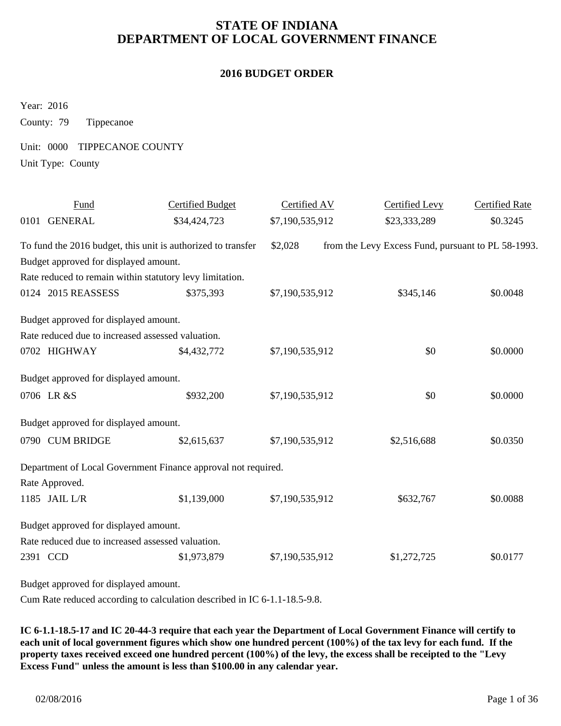#### **2016 BUDGET ORDER**

Year: 2016

County: 79 Tippecanoe

Unit: 0000 TIPPECANOE COUNTY

Unit Type: County

| Fund                                              | <b>Certified Budget</b>                                       | Certified AV    | <b>Certified Levy</b>                              | <b>Certified Rate</b> |
|---------------------------------------------------|---------------------------------------------------------------|-----------------|----------------------------------------------------|-----------------------|
| 0101 GENERAL                                      | \$34,424,723                                                  | \$7,190,535,912 | \$23,333,289                                       | \$0.3245              |
|                                                   | To fund the 2016 budget, this unit is authorized to transfer  | \$2,028         | from the Levy Excess Fund, pursuant to PL 58-1993. |                       |
| Budget approved for displayed amount.             |                                                               |                 |                                                    |                       |
|                                                   | Rate reduced to remain within statutory levy limitation.      |                 |                                                    |                       |
| 0124 2015 REASSESS                                | \$375,393                                                     | \$7,190,535,912 | \$345,146                                          | \$0.0048              |
| Budget approved for displayed amount.             |                                                               |                 |                                                    |                       |
| Rate reduced due to increased assessed valuation. |                                                               |                 |                                                    |                       |
| 0702 HIGHWAY                                      | \$4,432,772                                                   | \$7,190,535,912 | \$0                                                | \$0.0000              |
| Budget approved for displayed amount.             |                                                               |                 |                                                    |                       |
| 0706 LR &S                                        | \$932,200                                                     | \$7,190,535,912 | \$0                                                | \$0.0000              |
| Budget approved for displayed amount.             |                                                               |                 |                                                    |                       |
| 0790 CUM BRIDGE                                   | \$2,615,637                                                   | \$7,190,535,912 | \$2,516,688                                        | \$0.0350              |
|                                                   | Department of Local Government Finance approval not required. |                 |                                                    |                       |
| Rate Approved.                                    |                                                               |                 |                                                    |                       |
| 1185 JAIL L/R                                     | \$1,139,000                                                   | \$7,190,535,912 | \$632,767                                          | \$0.0088              |
| Budget approved for displayed amount.             |                                                               |                 |                                                    |                       |
| Rate reduced due to increased assessed valuation. |                                                               |                 |                                                    |                       |
| 2391 CCD                                          | \$1,973,879                                                   | \$7,190,535,912 | \$1,272,725                                        | \$0.0177              |
| Budget approved for displayed amount.             |                                                               |                 |                                                    |                       |

Cum Rate reduced according to calculation described in IC 6-1.1-18.5-9.8.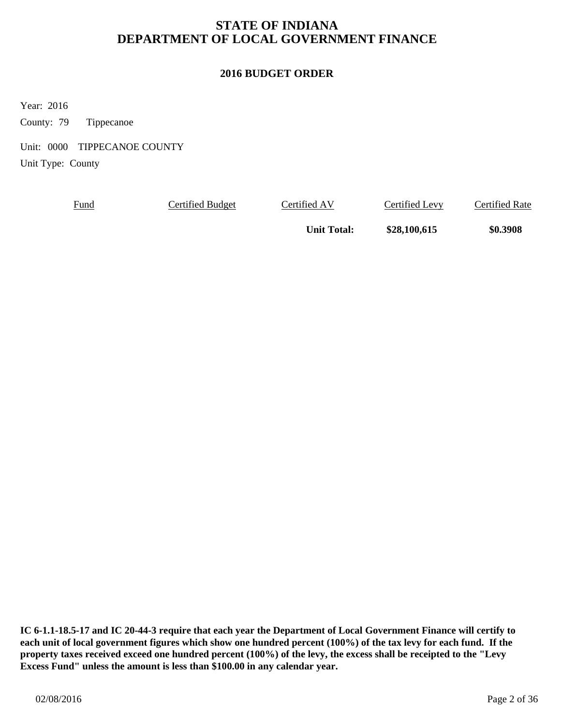### **2016 BUDGET ORDER**

Year: 2016

County: 79 Tippecanoe

Unit: 0000 TIPPECANOE COUNTY

Unit Type: County

Fund Certified Budget Certified AV Certified Levy Certified Rate

Unit Total:  $$28,100,615$  \$0.3908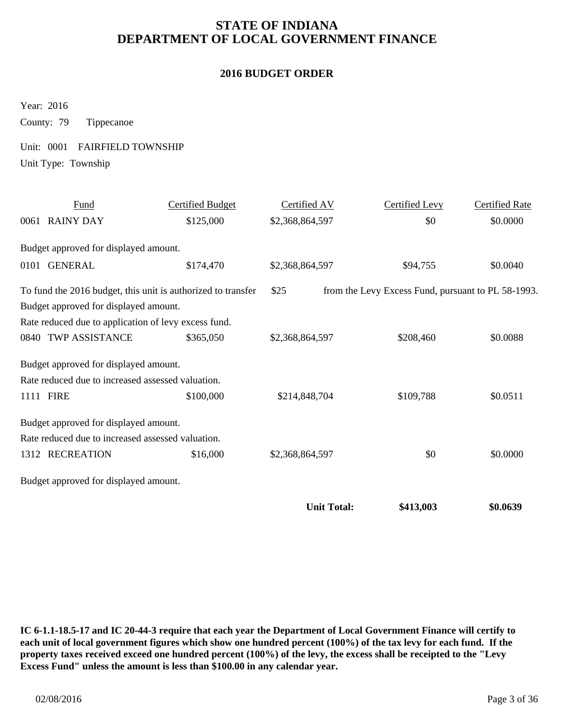#### **2016 BUDGET ORDER**

Year: 2016

County: 79 Tippecanoe

Unit: 0001 FAIRFIELD TOWNSHIP

Unit Type: Township

| Fund                                                 | <b>Certified Budget</b>                                      | Certified AV       | <b>Certified Levy</b>                              | <b>Certified Rate</b> |
|------------------------------------------------------|--------------------------------------------------------------|--------------------|----------------------------------------------------|-----------------------|
| 0061 RAINY DAY                                       | \$125,000                                                    | \$2,368,864,597    | \$0                                                | \$0.0000              |
| Budget approved for displayed amount.                |                                                              |                    |                                                    |                       |
| 0101 GENERAL                                         | \$174,470                                                    | \$2,368,864,597    | \$94,755                                           | \$0.0040              |
|                                                      | To fund the 2016 budget, this unit is authorized to transfer | \$25               | from the Levy Excess Fund, pursuant to PL 58-1993. |                       |
| Budget approved for displayed amount.                |                                                              |                    |                                                    |                       |
| Rate reduced due to application of levy excess fund. |                                                              |                    |                                                    |                       |
| 0840 TWP ASSISTANCE                                  | \$365,050                                                    | \$2,368,864,597    | \$208,460                                          | \$0.0088              |
| Budget approved for displayed amount.                |                                                              |                    |                                                    |                       |
| Rate reduced due to increased assessed valuation.    |                                                              |                    |                                                    |                       |
| 1111 FIRE                                            | \$100,000                                                    | \$214,848,704      | \$109,788                                          | \$0.0511              |
| Budget approved for displayed amount.                |                                                              |                    |                                                    |                       |
| Rate reduced due to increased assessed valuation.    |                                                              |                    |                                                    |                       |
| 1312 RECREATION                                      | \$16,000                                                     | \$2,368,864,597    | \$0                                                | \$0.0000              |
| Budget approved for displayed amount.                |                                                              |                    |                                                    |                       |
|                                                      |                                                              | <b>Unit Total:</b> | \$413,003                                          | \$0.0639              |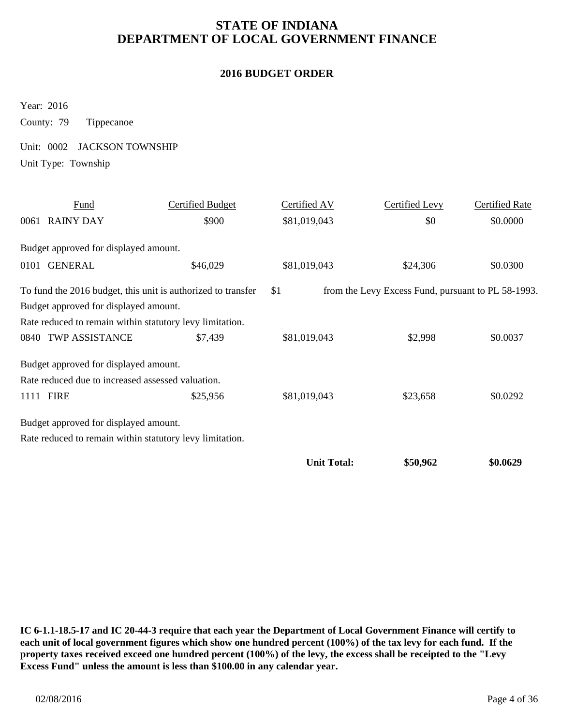#### **2016 BUDGET ORDER**

Year: 2016

County: 79 Tippecanoe

Unit: 0002 JACKSON TOWNSHIP

Unit Type: Township

| Fund                                                     | <b>Certified Budget</b>                                      | Certified AV       | Certified Levy                                     | <b>Certified Rate</b> |
|----------------------------------------------------------|--------------------------------------------------------------|--------------------|----------------------------------------------------|-----------------------|
| 0061 RAINY DAY                                           | \$900                                                        | \$81,019,043       | \$0                                                | \$0.0000              |
| Budget approved for displayed amount.                    |                                                              |                    |                                                    |                       |
| 0101 GENERAL                                             | \$46,029                                                     | \$81,019,043       | \$24,306                                           | \$0.0300              |
|                                                          | To fund the 2016 budget, this unit is authorized to transfer | \$1                | from the Levy Excess Fund, pursuant to PL 58-1993. |                       |
| Budget approved for displayed amount.                    |                                                              |                    |                                                    |                       |
| Rate reduced to remain within statutory levy limitation. |                                                              |                    |                                                    |                       |
| 0840 TWP ASSISTANCE                                      | \$7,439                                                      | \$81,019,043       | \$2,998                                            | \$0.0037              |
| Budget approved for displayed amount.                    |                                                              |                    |                                                    |                       |
| Rate reduced due to increased assessed valuation.        |                                                              |                    |                                                    |                       |
| 1111 FIRE                                                | \$25,956                                                     | \$81,019,043       | \$23,658                                           | \$0.0292              |
| Budget approved for displayed amount.                    |                                                              |                    |                                                    |                       |
| Rate reduced to remain within statutory levy limitation. |                                                              |                    |                                                    |                       |
|                                                          |                                                              | <b>Unit Total:</b> | \$50,962                                           | \$0.0629              |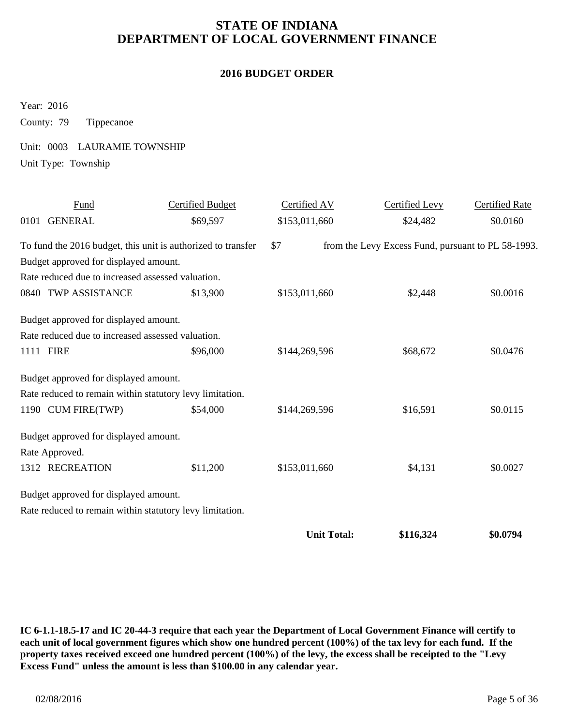#### **2016 BUDGET ORDER**

Year: 2016

County: 79 Tippecanoe

Unit: 0003 LAURAMIE TOWNSHIP

Unit Type: Township

| Fund                                                     | <b>Certified Budget</b>                                      | Certified AV       | Certified Levy                                     | <b>Certified Rate</b> |
|----------------------------------------------------------|--------------------------------------------------------------|--------------------|----------------------------------------------------|-----------------------|
| 0101 GENERAL                                             | \$69,597                                                     | \$153,011,660      | \$24,482                                           | \$0.0160              |
|                                                          | To fund the 2016 budget, this unit is authorized to transfer | \$7                | from the Levy Excess Fund, pursuant to PL 58-1993. |                       |
| Budget approved for displayed amount.                    |                                                              |                    |                                                    |                       |
| Rate reduced due to increased assessed valuation.        |                                                              |                    |                                                    |                       |
| 0840 TWP ASSISTANCE                                      | \$13,900                                                     | \$153,011,660      | \$2,448                                            | \$0.0016              |
| Budget approved for displayed amount.                    |                                                              |                    |                                                    |                       |
| Rate reduced due to increased assessed valuation.        |                                                              |                    |                                                    |                       |
| 1111 FIRE                                                | \$96,000                                                     | \$144,269,596      | \$68,672                                           | \$0.0476              |
| Budget approved for displayed amount.                    |                                                              |                    |                                                    |                       |
| Rate reduced to remain within statutory levy limitation. |                                                              |                    |                                                    |                       |
| 1190 CUM FIRE(TWP)                                       | \$54,000                                                     | \$144,269,596      | \$16,591                                           | \$0.0115              |
| Budget approved for displayed amount.                    |                                                              |                    |                                                    |                       |
| Rate Approved.                                           |                                                              |                    |                                                    |                       |
| 1312 RECREATION                                          | \$11,200                                                     | \$153,011,660      | \$4,131                                            | \$0.0027              |
| Budget approved for displayed amount.                    |                                                              |                    |                                                    |                       |
| Rate reduced to remain within statutory levy limitation. |                                                              |                    |                                                    |                       |
|                                                          |                                                              | <b>Unit Total:</b> | \$116,324                                          | \$0.0794              |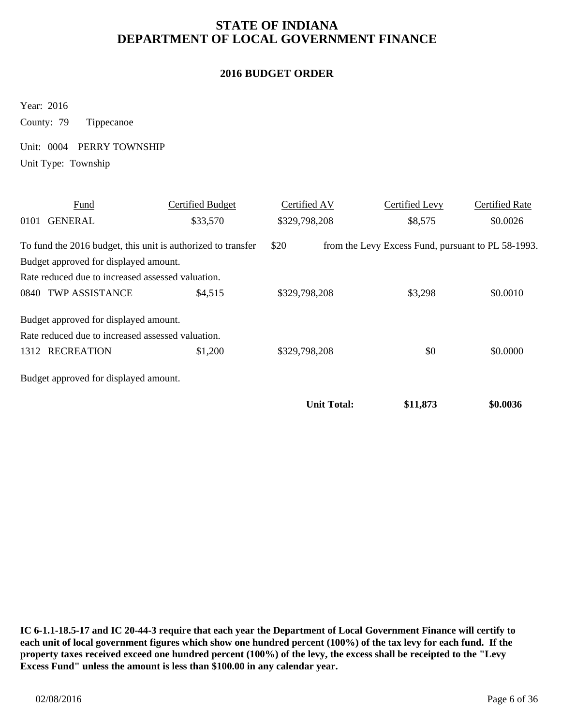#### **2016 BUDGET ORDER**

Year: 2016

County: 79 Tippecanoe

Unit: 0004 PERRY TOWNSHIP

Unit Type: Township

|      | Fund                                                         | Certified Budget | Certified AV       | Certified Levy                                     | <b>Certified Rate</b> |
|------|--------------------------------------------------------------|------------------|--------------------|----------------------------------------------------|-----------------------|
| 0101 | <b>GENERAL</b>                                               | \$33,570         | \$329,798,208      | \$8,575                                            | \$0.0026              |
|      | To fund the 2016 budget, this unit is authorized to transfer |                  | \$20               | from the Levy Excess Fund, pursuant to PL 58-1993. |                       |
|      | Budget approved for displayed amount.                        |                  |                    |                                                    |                       |
|      | Rate reduced due to increased assessed valuation.            |                  |                    |                                                    |                       |
|      | 0840 TWP ASSISTANCE                                          | \$4,515          | \$329,798,208      | \$3,298                                            | \$0.0010              |
|      | Budget approved for displayed amount.                        |                  |                    |                                                    |                       |
|      | Rate reduced due to increased assessed valuation.            |                  |                    |                                                    |                       |
|      | 1312 RECREATION                                              | \$1,200          | \$329,798,208      | \$0                                                | \$0.0000              |
|      | Budget approved for displayed amount.                        |                  |                    |                                                    |                       |
|      |                                                              |                  | <b>Unit Total:</b> | \$11,873                                           | \$0.0036              |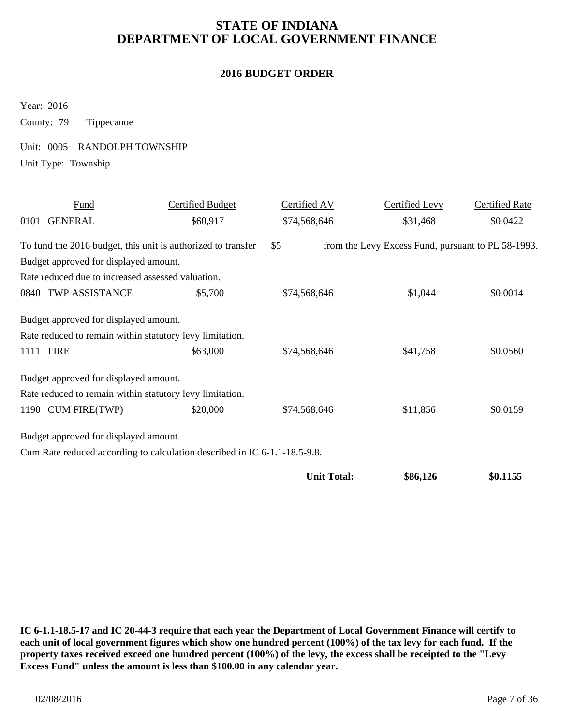#### **2016 BUDGET ORDER**

Year: 2016

County: 79 Tippecanoe

Unit: 0005 RANDOLPH TOWNSHIP

Unit Type: Township

|      | Fund                                              | <b>Certified Budget</b>                                                   | Certified AV       | <b>Certified Levy</b>                              | <b>Certified Rate</b> |
|------|---------------------------------------------------|---------------------------------------------------------------------------|--------------------|----------------------------------------------------|-----------------------|
| 0101 | <b>GENERAL</b>                                    | \$60,917                                                                  | \$74,568,646       | \$31,468                                           | \$0.0422              |
|      |                                                   | To fund the 2016 budget, this unit is authorized to transfer              | \$5                | from the Levy Excess Fund, pursuant to PL 58-1993. |                       |
|      | Budget approved for displayed amount.             |                                                                           |                    |                                                    |                       |
|      | Rate reduced due to increased assessed valuation. |                                                                           |                    |                                                    |                       |
|      | 0840 TWP ASSISTANCE                               | \$5,700                                                                   | \$74,568,646       | \$1,044                                            | \$0.0014              |
|      | Budget approved for displayed amount.             |                                                                           |                    |                                                    |                       |
|      |                                                   | Rate reduced to remain within statutory levy limitation.                  |                    |                                                    |                       |
|      | 1111 FIRE                                         | \$63,000                                                                  | \$74,568,646       | \$41,758                                           | \$0.0560              |
|      | Budget approved for displayed amount.             |                                                                           |                    |                                                    |                       |
|      |                                                   | Rate reduced to remain within statutory levy limitation.                  |                    |                                                    |                       |
|      | 1190 CUM FIRE(TWP)                                | \$20,000                                                                  | \$74,568,646       | \$11,856                                           | \$0.0159              |
|      | Budget approved for displayed amount.             |                                                                           |                    |                                                    |                       |
|      |                                                   | Cum Rate reduced according to calculation described in IC 6-1.1-18.5-9.8. |                    |                                                    |                       |
|      |                                                   |                                                                           | <b>Unit Total:</b> | \$86,126                                           | \$0.1155              |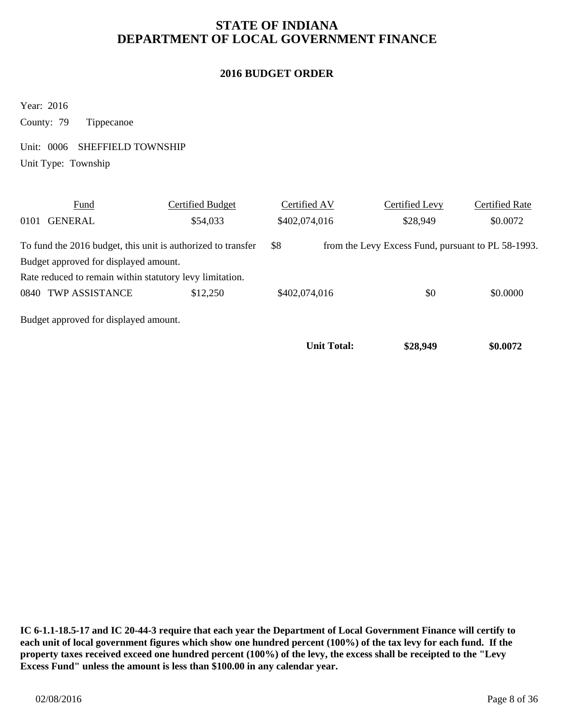#### **2016 BUDGET ORDER**

Year: 2016

County: 79 Tippecanoe

Unit: 0006 SHEFFIELD TOWNSHIP

Unit Type: Township

|      | Fund                                                         | Certified Budget | Certified AV       | Certified Levy                                     | Certified Rate |
|------|--------------------------------------------------------------|------------------|--------------------|----------------------------------------------------|----------------|
| 0101 | <b>GENERAL</b>                                               | \$54,033         | \$402,074,016      | \$28,949                                           | \$0.0072       |
|      | To fund the 2016 budget, this unit is authorized to transfer |                  | \$8                | from the Levy Excess Fund, pursuant to PL 58-1993. |                |
|      | Budget approved for displayed amount.                        |                  |                    |                                                    |                |
|      | Rate reduced to remain within statutory levy limitation.     |                  |                    |                                                    |                |
|      | 0840 TWP ASSISTANCE                                          | \$12,250         | \$402,074,016      | \$0                                                | \$0.0000       |
|      | Budget approved for displayed amount.                        |                  |                    |                                                    |                |
|      |                                                              |                  | <b>Unit Total:</b> | \$28,949                                           | \$0.0072       |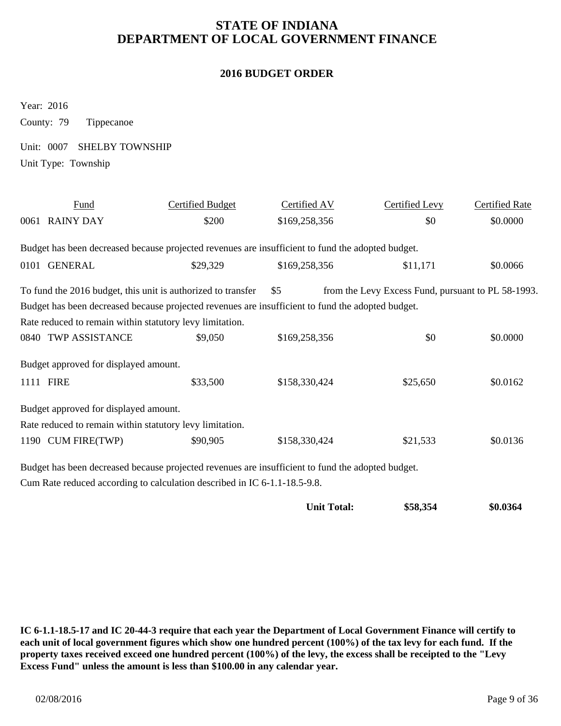#### **2016 BUDGET ORDER**

Year: 2016

County: 79 Tippecanoe

Unit: 0007 SHELBY TOWNSHIP

Unit Type: Township

| Fund                                                                                              | Certified Budget | Certified AV  | Certified Levy                                     | <b>Certified Rate</b> |
|---------------------------------------------------------------------------------------------------|------------------|---------------|----------------------------------------------------|-----------------------|
| 0061 RAINY DAY                                                                                    | \$200            | \$169,258,356 | \$0                                                | \$0.0000              |
| Budget has been decreased because projected revenues are insufficient to fund the adopted budget. |                  |               |                                                    |                       |
| 0101 GENERAL                                                                                      | \$29,329         | \$169,258,356 | \$11,171                                           | \$0.0066              |
| To fund the 2016 budget, this unit is authorized to transfer                                      |                  | \$5           | from the Levy Excess Fund, pursuant to PL 58-1993. |                       |
| Budget has been decreased because projected revenues are insufficient to fund the adopted budget. |                  |               |                                                    |                       |
| Rate reduced to remain within statutory levy limitation.                                          |                  |               |                                                    |                       |
| 0840 TWP ASSISTANCE                                                                               | \$9,050          | \$169,258,356 | \$0                                                | \$0.0000              |
| Budget approved for displayed amount.                                                             |                  |               |                                                    |                       |
| 1111 FIRE                                                                                         | \$33,500         | \$158,330,424 | \$25,650                                           | \$0.0162              |
| Budget approved for displayed amount.                                                             |                  |               |                                                    |                       |
| Rate reduced to remain within statutory levy limitation.                                          |                  |               |                                                    |                       |
| 1190 CUM FIRE(TWP)                                                                                | \$90,905         | \$158,330,424 | \$21,533                                           | \$0.0136              |
| Budget has been decreased because projected revenues are insufficient to fund the adopted budget. |                  |               |                                                    |                       |

Cum Rate reduced according to calculation described in IC 6-1.1-18.5-9.8.

| <b>Unit Total:</b> | \$58,354 | \$0.0364 |
|--------------------|----------|----------|
|--------------------|----------|----------|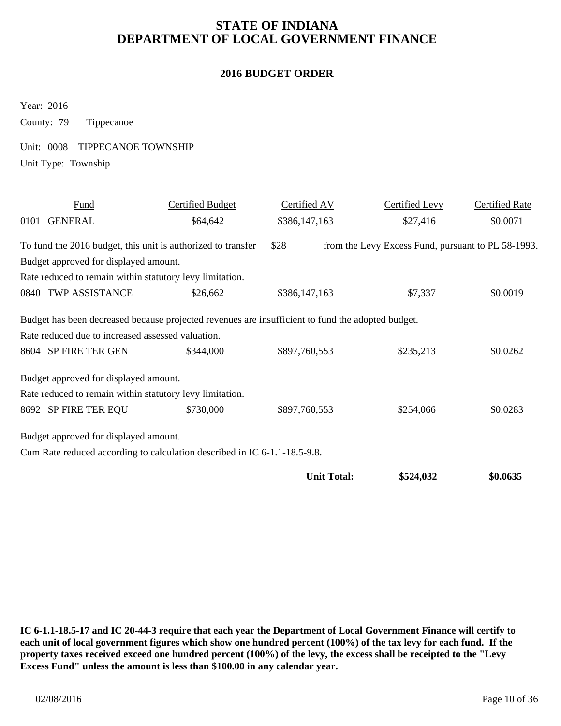#### **2016 BUDGET ORDER**

Year: 2016

County: 79 Tippecanoe

Unit: 0008 TIPPECANOE TOWNSHIP

Unit Type: Township

| <b>Fund</b>                                              | Certified Budget                                                                                  | Certified AV       | <b>Certified Levy</b>                              | <b>Certified Rate</b> |
|----------------------------------------------------------|---------------------------------------------------------------------------------------------------|--------------------|----------------------------------------------------|-----------------------|
| 0101 GENERAL                                             | \$64,642                                                                                          | \$386,147,163      | \$27,416                                           | \$0.0071              |
|                                                          | To fund the 2016 budget, this unit is authorized to transfer                                      | \$28               | from the Levy Excess Fund, pursuant to PL 58-1993. |                       |
| Budget approved for displayed amount.                    |                                                                                                   |                    |                                                    |                       |
| Rate reduced to remain within statutory levy limitation. |                                                                                                   |                    |                                                    |                       |
| 0840 TWP ASSISTANCE                                      | \$26,662                                                                                          | \$386,147,163      | \$7,337                                            | \$0.0019              |
|                                                          | Budget has been decreased because projected revenues are insufficient to fund the adopted budget. |                    |                                                    |                       |
| Rate reduced due to increased assessed valuation.        |                                                                                                   |                    |                                                    |                       |
| 8604 SP FIRE TER GEN                                     | \$344,000                                                                                         | \$897,760,553      | \$235,213                                          | \$0.0262              |
| Budget approved for displayed amount.                    |                                                                                                   |                    |                                                    |                       |
| Rate reduced to remain within statutory levy limitation. |                                                                                                   |                    |                                                    |                       |
| 8692 SP FIRE TER EQU                                     | \$730,000                                                                                         | \$897,760,553      | \$254,066                                          | \$0.0283              |
| Budget approved for displayed amount.                    |                                                                                                   |                    |                                                    |                       |
|                                                          | Cum Rate reduced according to calculation described in IC 6-1.1-18.5-9.8.                         |                    |                                                    |                       |
|                                                          |                                                                                                   | <b>Unit Total:</b> | \$524,032                                          | \$0.0635              |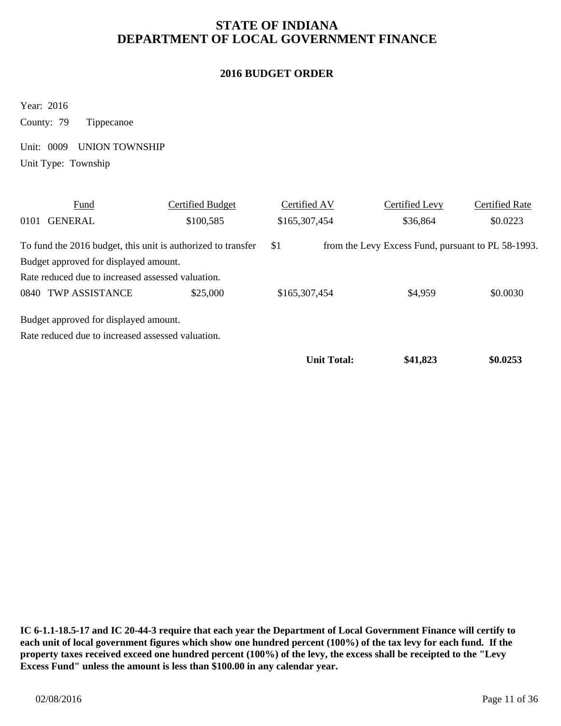#### **2016 BUDGET ORDER**

Year: 2016 County: 79 Tippecanoe

Unit: 0009 UNION TOWNSHIP

Unit Type: Township

|      | Fund                                                         | Certified Budget | Certified AV  |                    | Certified Levy                                     | Certified Rate |
|------|--------------------------------------------------------------|------------------|---------------|--------------------|----------------------------------------------------|----------------|
| 0101 | <b>GENERAL</b>                                               | \$100,585        | \$165,307,454 |                    | \$36,864                                           | \$0.0223       |
|      | To fund the 2016 budget, this unit is authorized to transfer |                  | \$1           |                    | from the Levy Excess Fund, pursuant to PL 58-1993. |                |
|      | Budget approved for displayed amount.                        |                  |               |                    |                                                    |                |
|      | Rate reduced due to increased assessed valuation.            |                  |               |                    |                                                    |                |
|      | 0840 TWP ASSISTANCE                                          | \$25,000         | \$165,307,454 |                    | \$4,959                                            | \$0.0030       |
|      | Budget approved for displayed amount.                        |                  |               |                    |                                                    |                |
|      | Rate reduced due to increased assessed valuation.            |                  |               |                    |                                                    |                |
|      |                                                              |                  |               | <b>Unit Total:</b> | \$41,823                                           | \$0.0253       |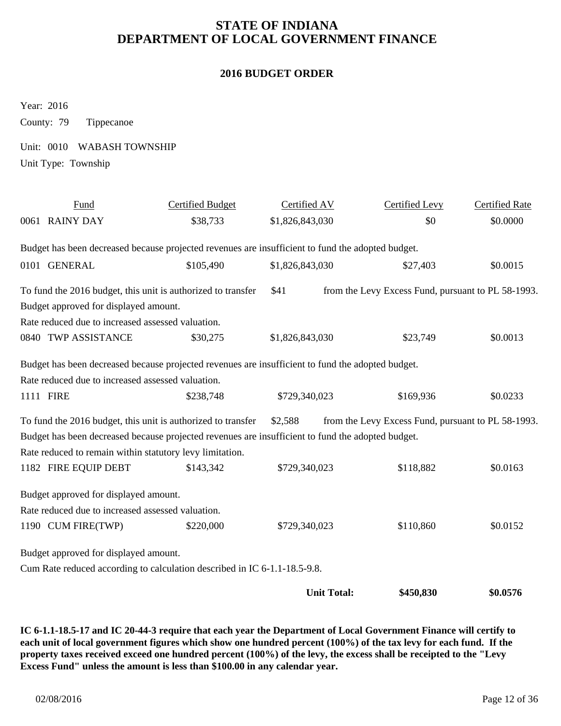#### **2016 BUDGET ORDER**

Year: 2016

County: 79 Tippecanoe

Unit: 0010 WABASH TOWNSHIP

Unit Type: Township

| Fund                                                     | <b>Certified Budget</b>                                                                           | Certified AV       | <b>Certified Levy</b>                              | <b>Certified Rate</b> |
|----------------------------------------------------------|---------------------------------------------------------------------------------------------------|--------------------|----------------------------------------------------|-----------------------|
| 0061 RAINY DAY                                           | \$38,733                                                                                          | \$1,826,843,030    | \$0                                                | \$0.0000              |
|                                                          | Budget has been decreased because projected revenues are insufficient to fund the adopted budget. |                    |                                                    |                       |
| 0101 GENERAL                                             | \$105,490                                                                                         | \$1,826,843,030    | \$27,403                                           | \$0.0015              |
|                                                          | To fund the 2016 budget, this unit is authorized to transfer                                      | \$41               | from the Levy Excess Fund, pursuant to PL 58-1993. |                       |
| Budget approved for displayed amount.                    |                                                                                                   |                    |                                                    |                       |
| Rate reduced due to increased assessed valuation.        |                                                                                                   |                    |                                                    |                       |
| 0840 TWP ASSISTANCE                                      | \$30,275                                                                                          | \$1,826,843,030    | \$23,749                                           | \$0.0013              |
|                                                          | Budget has been decreased because projected revenues are insufficient to fund the adopted budget. |                    |                                                    |                       |
| Rate reduced due to increased assessed valuation.        |                                                                                                   |                    |                                                    |                       |
| 1111 FIRE                                                | \$238,748                                                                                         | \$729,340,023      | \$169,936                                          | \$0.0233              |
|                                                          | To fund the 2016 budget, this unit is authorized to transfer                                      | \$2,588            | from the Levy Excess Fund, pursuant to PL 58-1993. |                       |
|                                                          | Budget has been decreased because projected revenues are insufficient to fund the adopted budget. |                    |                                                    |                       |
| Rate reduced to remain within statutory levy limitation. |                                                                                                   |                    |                                                    |                       |
| 1182 FIRE EQUIP DEBT                                     | \$143,342                                                                                         | \$729,340,023      | \$118,882                                          | \$0.0163              |
| Budget approved for displayed amount.                    |                                                                                                   |                    |                                                    |                       |
| Rate reduced due to increased assessed valuation.        |                                                                                                   |                    |                                                    |                       |
| 1190 CUM FIRE(TWP)                                       | \$220,000                                                                                         | \$729,340,023      | \$110,860                                          | \$0.0152              |
| Budget approved for displayed amount.                    |                                                                                                   |                    |                                                    |                       |
|                                                          | Cum Rate reduced according to calculation described in IC 6-1.1-18.5-9.8.                         |                    |                                                    |                       |
|                                                          |                                                                                                   | <b>Unit Total:</b> | \$450,830                                          | \$0.0576              |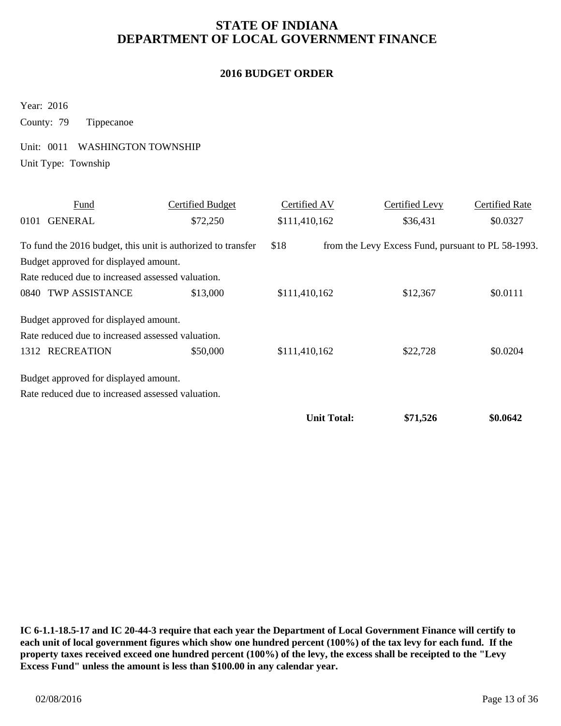#### **2016 BUDGET ORDER**

Year: 2016

County: 79 Tippecanoe

Unit: 0011 WASHINGTON TOWNSHIP

Unit Type: Township

|      | Fund                                                         | <b>Certified Budget</b> | Certified AV       | Certified Levy                                     | <b>Certified Rate</b> |
|------|--------------------------------------------------------------|-------------------------|--------------------|----------------------------------------------------|-----------------------|
| 0101 | <b>GENERAL</b>                                               | \$72,250                | \$111,410,162      | \$36,431                                           | \$0.0327              |
|      | To fund the 2016 budget, this unit is authorized to transfer |                         | \$18               | from the Levy Excess Fund, pursuant to PL 58-1993. |                       |
|      | Budget approved for displayed amount.                        |                         |                    |                                                    |                       |
|      | Rate reduced due to increased assessed valuation.            |                         |                    |                                                    |                       |
|      | 0840 TWP ASSISTANCE                                          | \$13,000                | \$111,410,162      | \$12,367                                           | \$0.0111              |
|      | Budget approved for displayed amount.                        |                         |                    |                                                    |                       |
|      | Rate reduced due to increased assessed valuation.            |                         |                    |                                                    |                       |
|      | 1312 RECREATION                                              | \$50,000                | \$111,410,162      | \$22,728                                           | \$0.0204              |
|      | Budget approved for displayed amount.                        |                         |                    |                                                    |                       |
|      | Rate reduced due to increased assessed valuation.            |                         |                    |                                                    |                       |
|      |                                                              |                         | <b>Unit Total:</b> | \$71,526                                           | \$0.0642              |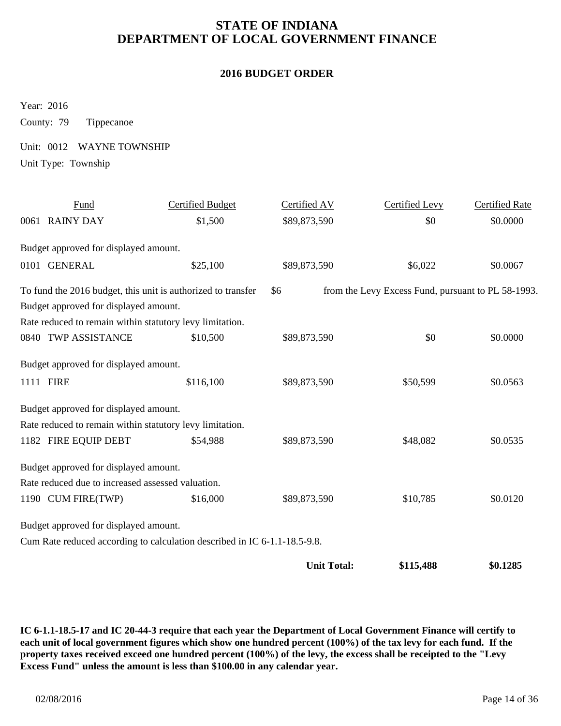#### **2016 BUDGET ORDER**

Year: 2016

County: 79 Tippecanoe

Unit: 0012 WAYNE TOWNSHIP

Unit Type: Township

| Fund                                                     | <b>Certified Budget</b>                                                   | Certified AV       | <b>Certified Levy</b>                              | <b>Certified Rate</b> |
|----------------------------------------------------------|---------------------------------------------------------------------------|--------------------|----------------------------------------------------|-----------------------|
| 0061 RAINY DAY                                           | \$1,500                                                                   | \$89,873,590       | \$0                                                | \$0.0000              |
| Budget approved for displayed amount.                    |                                                                           |                    |                                                    |                       |
| 0101 GENERAL                                             | \$25,100                                                                  | \$89,873,590       | \$6,022                                            | \$0.0067              |
|                                                          | To fund the 2016 budget, this unit is authorized to transfer              | \$6                | from the Levy Excess Fund, pursuant to PL 58-1993. |                       |
| Budget approved for displayed amount.                    |                                                                           |                    |                                                    |                       |
| Rate reduced to remain within statutory levy limitation. |                                                                           |                    |                                                    |                       |
| 0840 TWP ASSISTANCE                                      | \$10,500                                                                  | \$89,873,590       | \$0                                                | \$0.0000              |
| Budget approved for displayed amount.                    |                                                                           |                    |                                                    |                       |
| 1111 FIRE                                                | \$116,100                                                                 | \$89,873,590       | \$50,599                                           | \$0.0563              |
| Budget approved for displayed amount.                    |                                                                           |                    |                                                    |                       |
| Rate reduced to remain within statutory levy limitation. |                                                                           |                    |                                                    |                       |
| 1182 FIRE EQUIP DEBT                                     | \$54,988                                                                  | \$89,873,590       | \$48,082                                           | \$0.0535              |
| Budget approved for displayed amount.                    |                                                                           |                    |                                                    |                       |
| Rate reduced due to increased assessed valuation.        |                                                                           |                    |                                                    |                       |
| 1190 CUM FIRE(TWP)                                       | \$16,000                                                                  | \$89,873,590       | \$10,785                                           | \$0.0120              |
| Budget approved for displayed amount.                    |                                                                           |                    |                                                    |                       |
|                                                          | Cum Rate reduced according to calculation described in IC 6-1.1-18.5-9.8. |                    |                                                    |                       |
|                                                          |                                                                           | <b>Unit Total:</b> | \$115,488                                          | \$0.1285              |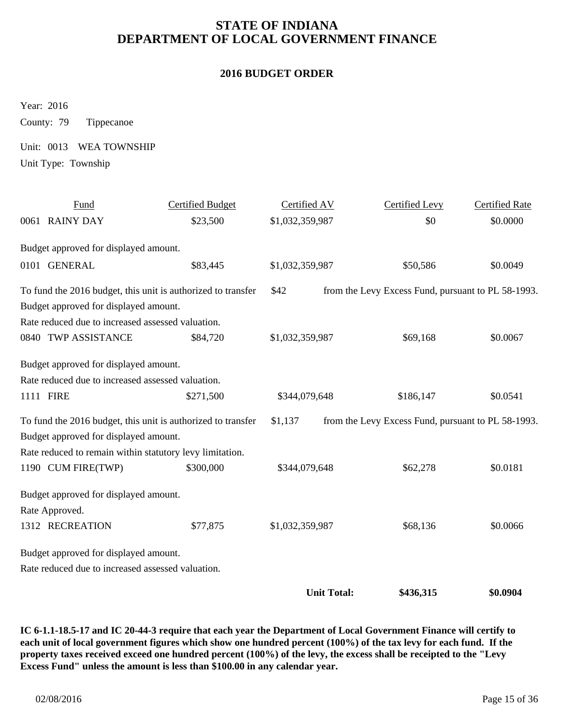#### **2016 BUDGET ORDER**

Year: 2016

County: 79 Tippecanoe

Unit: 0013 WEA TOWNSHIP

Unit Type: Township

| Fund                                                         | <b>Certified Budget</b> | Certified AV       | <b>Certified Levy</b>                              | <b>Certified Rate</b> |
|--------------------------------------------------------------|-------------------------|--------------------|----------------------------------------------------|-----------------------|
| 0061 RAINY DAY                                               | \$23,500                | \$1,032,359,987    | \$0                                                | \$0.0000              |
| Budget approved for displayed amount.                        |                         |                    |                                                    |                       |
| 0101 GENERAL                                                 | \$83,445                | \$1,032,359,987    | \$50,586                                           | \$0.0049              |
| To fund the 2016 budget, this unit is authorized to transfer |                         | \$42               | from the Levy Excess Fund, pursuant to PL 58-1993. |                       |
| Budget approved for displayed amount.                        |                         |                    |                                                    |                       |
| Rate reduced due to increased assessed valuation.            |                         |                    |                                                    |                       |
| 0840 TWP ASSISTANCE                                          | \$84,720                | \$1,032,359,987    | \$69,168                                           | \$0.0067              |
| Budget approved for displayed amount.                        |                         |                    |                                                    |                       |
| Rate reduced due to increased assessed valuation.            |                         |                    |                                                    |                       |
| 1111 FIRE                                                    | \$271,500               | \$344,079,648      | \$186,147                                          | \$0.0541              |
| To fund the 2016 budget, this unit is authorized to transfer |                         | \$1,137            | from the Levy Excess Fund, pursuant to PL 58-1993. |                       |
| Budget approved for displayed amount.                        |                         |                    |                                                    |                       |
| Rate reduced to remain within statutory levy limitation.     |                         |                    |                                                    |                       |
| 1190 CUM FIRE(TWP)                                           | \$300,000               | \$344,079,648      | \$62,278                                           | \$0.0181              |
| Budget approved for displayed amount.                        |                         |                    |                                                    |                       |
| Rate Approved.                                               |                         |                    |                                                    |                       |
| 1312 RECREATION                                              | \$77,875                | \$1,032,359,987    | \$68,136                                           | \$0.0066              |
| Budget approved for displayed amount.                        |                         |                    |                                                    |                       |
| Rate reduced due to increased assessed valuation.            |                         |                    |                                                    |                       |
|                                                              |                         |                    |                                                    |                       |
|                                                              |                         | <b>Unit Total:</b> | \$436,315                                          | \$0.0904              |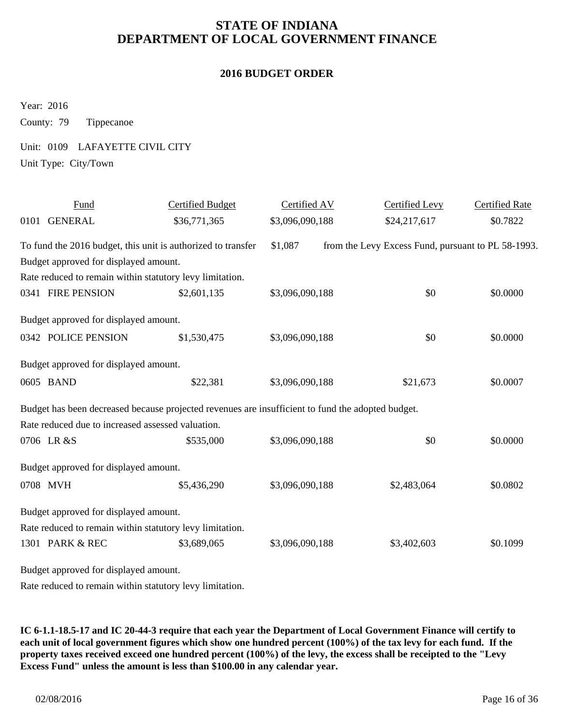#### **2016 BUDGET ORDER**

Year: 2016

County: 79 Tippecanoe

Unit: 0109 LAFAYETTE CIVIL CITY

Unit Type: City/Town

| Fund                                                                                              | <b>Certified Budget</b> | Certified AV    | <b>Certified Levy</b>                              | <b>Certified Rate</b> |
|---------------------------------------------------------------------------------------------------|-------------------------|-----------------|----------------------------------------------------|-----------------------|
| 0101 GENERAL                                                                                      | \$36,771,365            | \$3,096,090,188 | \$24,217,617                                       | \$0.7822              |
| To fund the 2016 budget, this unit is authorized to transfer                                      |                         | \$1,087         | from the Levy Excess Fund, pursuant to PL 58-1993. |                       |
| Budget approved for displayed amount.                                                             |                         |                 |                                                    |                       |
| Rate reduced to remain within statutory levy limitation.                                          |                         |                 |                                                    |                       |
| 0341 FIRE PENSION                                                                                 | \$2,601,135             | \$3,096,090,188 | \$0                                                | \$0.0000              |
| Budget approved for displayed amount.                                                             |                         |                 |                                                    |                       |
| 0342 POLICE PENSION                                                                               | \$1,530,475             | \$3,096,090,188 | \$0                                                | \$0.0000              |
| Budget approved for displayed amount.                                                             |                         |                 |                                                    |                       |
| 0605 BAND                                                                                         | \$22,381                | \$3,096,090,188 | \$21,673                                           | \$0.0007              |
| Budget has been decreased because projected revenues are insufficient to fund the adopted budget. |                         |                 |                                                    |                       |
| Rate reduced due to increased assessed valuation.                                                 |                         |                 |                                                    |                       |
| 0706 LR &S                                                                                        | \$535,000               | \$3,096,090,188 | \$0                                                | \$0.0000              |
| Budget approved for displayed amount.                                                             |                         |                 |                                                    |                       |
| 0708 MVH                                                                                          | \$5,436,290             | \$3,096,090,188 | \$2,483,064                                        | \$0.0802              |
| Budget approved for displayed amount.                                                             |                         |                 |                                                    |                       |
| Rate reduced to remain within statutory levy limitation.                                          |                         |                 |                                                    |                       |
| 1301 PARK & REC                                                                                   | \$3,689,065             | \$3,096,090,188 | \$3,402,603                                        | \$0.1099              |
| Budget approved for displayed amount.                                                             |                         |                 |                                                    |                       |

Rate reduced to remain within statutory levy limitation.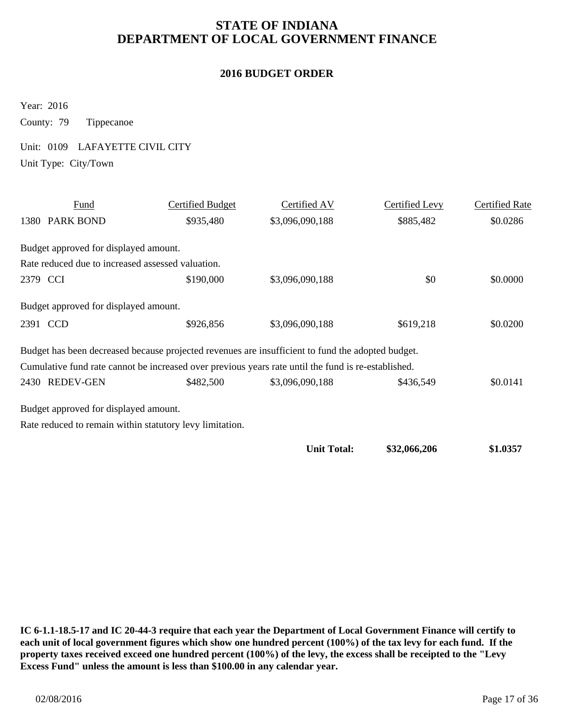#### **2016 BUDGET ORDER**

Year: 2016

County: 79 Tippecanoe

Unit: 0109 LAFAYETTE CIVIL CITY

Unit Type: City/Town

| Fund                                              | Certified Budget                                         | Certified AV                                                                                        | Certified Levy | <b>Certified Rate</b> |
|---------------------------------------------------|----------------------------------------------------------|-----------------------------------------------------------------------------------------------------|----------------|-----------------------|
| 1380 PARK BOND                                    | \$935,480                                                | \$3,096,090,188                                                                                     | \$885,482      | \$0.0286              |
| Budget approved for displayed amount.             |                                                          |                                                                                                     |                |                       |
| Rate reduced due to increased assessed valuation. |                                                          |                                                                                                     |                |                       |
| 2379 CCI                                          | \$190,000                                                | \$3,096,090,188                                                                                     | \$0            | \$0.0000              |
| Budget approved for displayed amount.             |                                                          |                                                                                                     |                |                       |
| 2391 CCD                                          | \$926,856                                                | \$3,096,090,188                                                                                     | \$619,218      | \$0.0200              |
|                                                   |                                                          | Budget has been decreased because projected revenues are insufficient to fund the adopted budget.   |                |                       |
|                                                   |                                                          | Cumulative fund rate cannot be increased over previous years rate until the fund is re-established. |                |                       |
| 2430 REDEV-GEN                                    | \$482,500                                                | \$3,096,090,188                                                                                     | \$436,549      | \$0.0141              |
| Budget approved for displayed amount.             |                                                          |                                                                                                     |                |                       |
|                                                   | Rate reduced to remain within statutory levy limitation. |                                                                                                     |                |                       |
|                                                   |                                                          | <b>Unit Total:</b>                                                                                  | \$32,066,206   | \$1.0357              |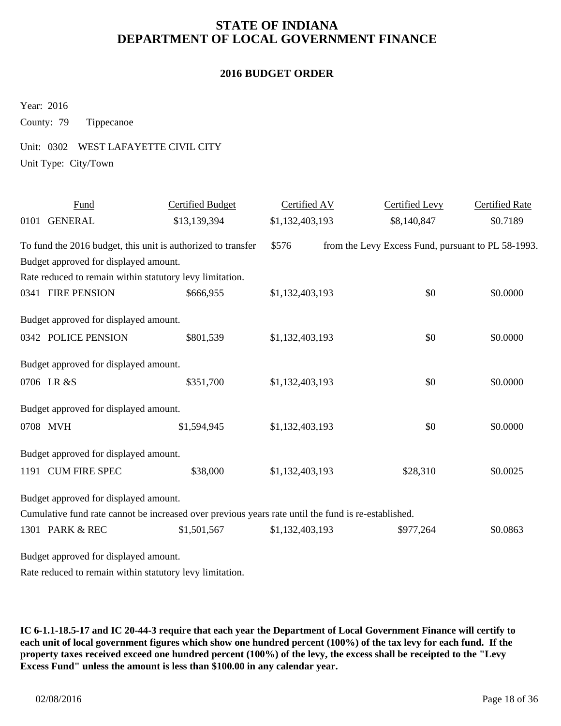#### **2016 BUDGET ORDER**

Year: 2016

County: 79 Tippecanoe

Unit: 0302 WEST LAFAYETTE CIVIL CITY

Unit Type: City/Town

| Fund                                                         | <b>Certified Budget</b>                                                                             | Certified AV    | Certified Levy                                     | <b>Certified Rate</b> |
|--------------------------------------------------------------|-----------------------------------------------------------------------------------------------------|-----------------|----------------------------------------------------|-----------------------|
| 0101 GENERAL                                                 | \$13,139,394                                                                                        | \$1,132,403,193 | \$8,140,847                                        | \$0.7189              |
| To fund the 2016 budget, this unit is authorized to transfer |                                                                                                     | \$576           | from the Levy Excess Fund, pursuant to PL 58-1993. |                       |
| Budget approved for displayed amount.                        |                                                                                                     |                 |                                                    |                       |
| Rate reduced to remain within statutory levy limitation.     |                                                                                                     |                 |                                                    |                       |
| 0341 FIRE PENSION                                            | \$666,955                                                                                           | \$1,132,403,193 | \$0                                                | \$0.0000              |
| Budget approved for displayed amount.                        |                                                                                                     |                 |                                                    |                       |
| 0342 POLICE PENSION                                          | \$801,539                                                                                           | \$1,132,403,193 | \$0                                                | \$0.0000              |
| Budget approved for displayed amount.                        |                                                                                                     |                 |                                                    |                       |
| 0706 LR &S                                                   | \$351,700                                                                                           | \$1,132,403,193 | \$0                                                | \$0.0000              |
| Budget approved for displayed amount.                        |                                                                                                     |                 |                                                    |                       |
| 0708 MVH                                                     | \$1,594,945                                                                                         | \$1,132,403,193 | \$0                                                | \$0.0000              |
| Budget approved for displayed amount.                        |                                                                                                     |                 |                                                    |                       |
| 1191 CUM FIRE SPEC                                           | \$38,000                                                                                            | \$1,132,403,193 | \$28,310                                           | \$0.0025              |
| Budget approved for displayed amount.                        |                                                                                                     |                 |                                                    |                       |
|                                                              | Cumulative fund rate cannot be increased over previous years rate until the fund is re-established. |                 |                                                    |                       |
| 1301 PARK & REC                                              | \$1,501,567                                                                                         | \$1,132,403,193 | \$977,264                                          | \$0.0863              |
| Budget approved for displayed amount.                        |                                                                                                     |                 |                                                    |                       |

Rate reduced to remain within statutory levy limitation.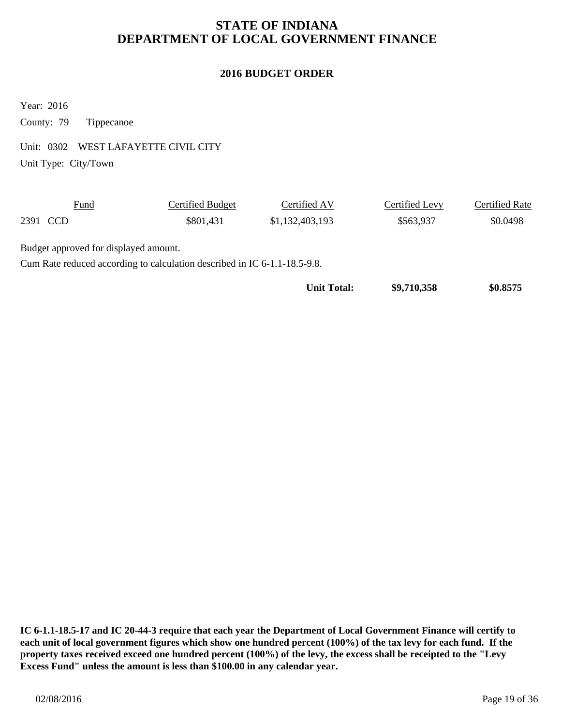#### **2016 BUDGET ORDER**

Year: 2016

County: 79 Tippecanoe

Unit: 0302 WEST LAFAYETTE CIVIL CITY

Unit Type: City/Town

| <b>Fund</b>                           | Certified Budget | Certified AV    | Certified Levy | Certified Rate |
|---------------------------------------|------------------|-----------------|----------------|----------------|
| 2391 CCD                              | \$801,431        | \$1,132,403,193 | \$563,937      | \$0.0498       |
| Budget approved for displayed amount. |                  |                 |                |                |

Cum Rate reduced according to calculation described in IC 6-1.1-18.5-9.8.

**Unit Total: \$9,710,358** \$0.8575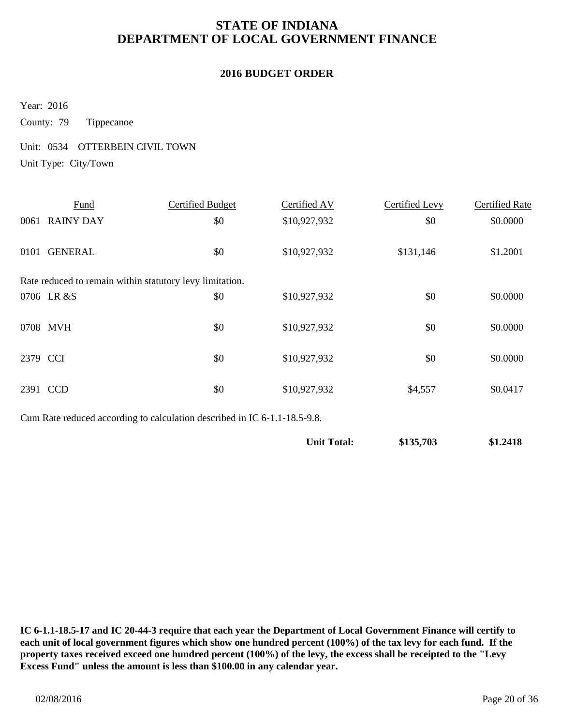#### **2016 BUDGET ORDER**

Year: 2016

County: 79 Tippecanoe

Unit: 0534 OTTERBEIN CIVIL TOWN Unit Type: City/Town

|          | Fund                                                     | Certified Budget | Certified AV | Certified Levy | <b>Certified Rate</b> |
|----------|----------------------------------------------------------|------------------|--------------|----------------|-----------------------|
|          | 0061 RAINY DAY                                           | \$0              | \$10,927,932 | \$0            | \$0.0000              |
| 0101     | <b>GENERAL</b>                                           | \$0              | \$10,927,932 | \$131,146      | \$1.2001              |
|          | Rate reduced to remain within statutory levy limitation. |                  |              |                |                       |
|          | 0706 LR &S                                               | \$0              | \$10,927,932 | \$0            | \$0.0000              |
|          | 0708 MVH                                                 | \$0              | \$10,927,932 | \$0            | \$0.0000              |
| 2379 CCI |                                                          | \$0              | \$10,927,932 | \$0            | \$0.0000              |
| 2391     | <b>CCD</b>                                               | \$0              | \$10,927,932 | \$4,557        | \$0.0417              |

Cum Rate reduced according to calculation described in IC 6-1.1-18.5-9.8.

| \$1.2418  |
|-----------|
| \$135,703 |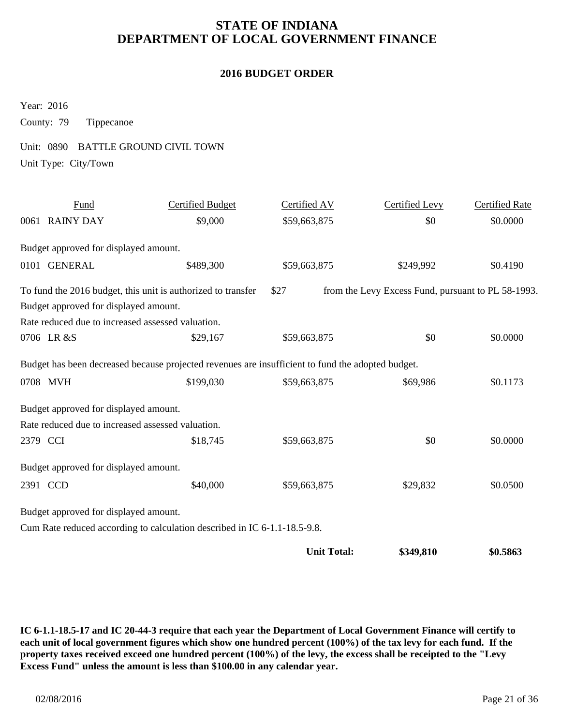#### **2016 BUDGET ORDER**

Year: 2016

County: 79 Tippecanoe

Unit: 0890 BATTLE GROUND CIVIL TOWN

Unit Type: City/Town

| Fund                                  | <b>Certified Budget</b>                                                                           | Certified AV       | <b>Certified Levy</b>                              | <b>Certified Rate</b> |
|---------------------------------------|---------------------------------------------------------------------------------------------------|--------------------|----------------------------------------------------|-----------------------|
| 0061 RAINY DAY                        | \$9,000                                                                                           | \$59,663,875       | \$0                                                | \$0.0000              |
| Budget approved for displayed amount. |                                                                                                   |                    |                                                    |                       |
| 0101 GENERAL                          | \$489,300                                                                                         | \$59,663,875       | \$249,992                                          | \$0.4190              |
|                                       | To fund the 2016 budget, this unit is authorized to transfer                                      | \$27               | from the Levy Excess Fund, pursuant to PL 58-1993. |                       |
| Budget approved for displayed amount. |                                                                                                   |                    |                                                    |                       |
|                                       | Rate reduced due to increased assessed valuation.                                                 |                    |                                                    |                       |
| 0706 LR &S                            | \$29,167                                                                                          | \$59,663,875       | \$0                                                | \$0.0000              |
|                                       | Budget has been decreased because projected revenues are insufficient to fund the adopted budget. |                    |                                                    |                       |
| 0708 MVH                              | \$199,030                                                                                         | \$59,663,875       | \$69,986                                           | \$0.1173              |
| Budget approved for displayed amount. |                                                                                                   |                    |                                                    |                       |
|                                       | Rate reduced due to increased assessed valuation.                                                 |                    |                                                    |                       |
| 2379 CCI                              | \$18,745                                                                                          | \$59,663,875       | \$0                                                | \$0.0000              |
| Budget approved for displayed amount. |                                                                                                   |                    |                                                    |                       |
| 2391 CCD                              | \$40,000                                                                                          | \$59,663,875       | \$29,832                                           | \$0.0500              |
| Budget approved for displayed amount. |                                                                                                   |                    |                                                    |                       |
|                                       | Cum Rate reduced according to calculation described in IC 6-1.1-18.5-9.8.                         |                    |                                                    |                       |
|                                       |                                                                                                   | <b>Unit Total:</b> | \$349,810                                          | \$0.5863              |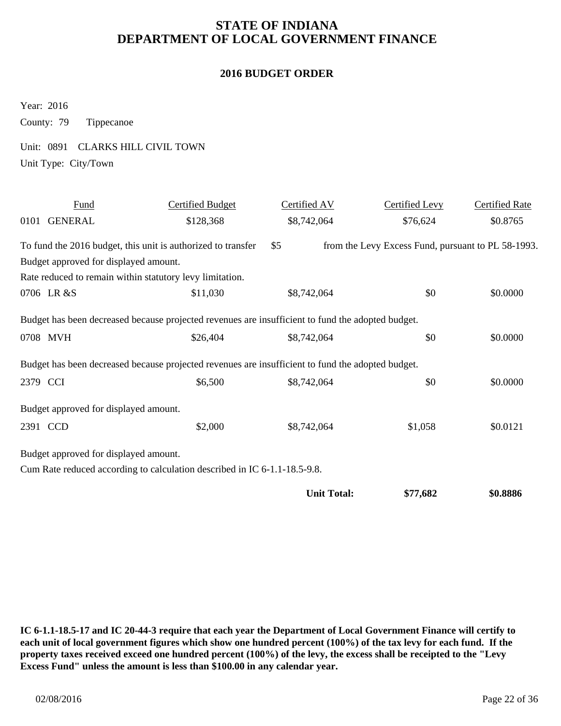#### **2016 BUDGET ORDER**

Year: 2016

County: 79 Tippecanoe

Unit: 0891 CLARKS HILL CIVIL TOWN

Unit Type: City/Town

| Fund                                                         | <b>Certified Budget</b>                                                                                       | Certified AV       | Certified Levy                                     | <b>Certified Rate</b> |
|--------------------------------------------------------------|---------------------------------------------------------------------------------------------------------------|--------------------|----------------------------------------------------|-----------------------|
| 0101 GENERAL                                                 | \$128,368                                                                                                     | \$8,742,064        | \$76,624                                           | \$0.8765              |
| To fund the 2016 budget, this unit is authorized to transfer |                                                                                                               | \$5                | from the Levy Excess Fund, pursuant to PL 58-1993. |                       |
| Budget approved for displayed amount.                        |                                                                                                               |                    |                                                    |                       |
| Rate reduced to remain within statutory levy limitation.     |                                                                                                               |                    |                                                    |                       |
| 0706 LR &S                                                   | \$11,030                                                                                                      | \$8,742,064        | \$0                                                | \$0.0000              |
| 0708 MVH                                                     | Budget has been decreased because projected revenues are insufficient to fund the adopted budget.<br>\$26,404 | \$8,742,064        | \$0                                                | \$0.0000              |
|                                                              | Budget has been decreased because projected revenues are insufficient to fund the adopted budget.             |                    |                                                    |                       |
| 2379 CCI                                                     | \$6,500                                                                                                       | \$8,742,064        | \$0                                                | \$0.0000              |
| Budget approved for displayed amount.                        |                                                                                                               |                    |                                                    |                       |
| 2391 CCD                                                     | \$2,000                                                                                                       | \$8,742,064        | \$1,058                                            | \$0.0121              |
| Budget approved for displayed amount.                        |                                                                                                               |                    |                                                    |                       |
|                                                              | Cum Rate reduced according to calculation described in IC 6-1.1-18.5-9.8.                                     |                    |                                                    |                       |
|                                                              |                                                                                                               | <b>Unit Total:</b> | \$77,682                                           | \$0.8886              |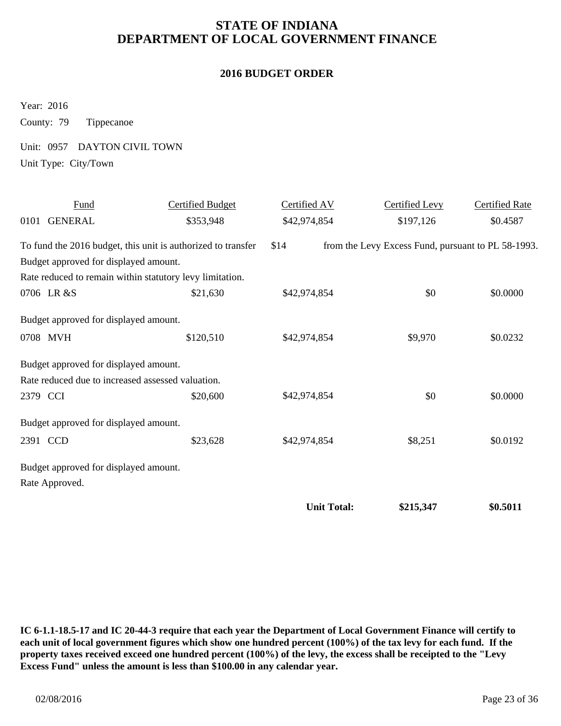#### **2016 BUDGET ORDER**

Year: 2016

County: 79 Tippecanoe

Unit: 0957 DAYTON CIVIL TOWN

Unit Type: City/Town

| Fund                                                     | <b>Certified Budget</b>                                      | Certified AV       | <b>Certified Levy</b>                              | <b>Certified Rate</b> |
|----------------------------------------------------------|--------------------------------------------------------------|--------------------|----------------------------------------------------|-----------------------|
| 0101 GENERAL                                             | \$353,948                                                    | \$42,974,854       | \$197,126                                          | \$0.4587              |
|                                                          | To fund the 2016 budget, this unit is authorized to transfer | \$14               | from the Levy Excess Fund, pursuant to PL 58-1993. |                       |
| Budget approved for displayed amount.                    |                                                              |                    |                                                    |                       |
| Rate reduced to remain within statutory levy limitation. |                                                              |                    |                                                    |                       |
| 0706 LR &S                                               | \$21,630                                                     | \$42,974,854       | \$0                                                | \$0.0000              |
| Budget approved for displayed amount.                    |                                                              |                    |                                                    |                       |
| 0708 MVH                                                 | \$120,510                                                    | \$42,974,854       | \$9,970                                            | \$0.0232              |
| Budget approved for displayed amount.                    |                                                              |                    |                                                    |                       |
| Rate reduced due to increased assessed valuation.        |                                                              |                    |                                                    |                       |
| 2379 CCI                                                 | \$20,600                                                     | \$42,974,854       | \$0                                                | \$0.0000              |
| Budget approved for displayed amount.                    |                                                              |                    |                                                    |                       |
| 2391 CCD                                                 | \$23,628                                                     | \$42,974,854       | \$8,251                                            | \$0.0192              |
| Budget approved for displayed amount.                    |                                                              |                    |                                                    |                       |
| Rate Approved.                                           |                                                              |                    |                                                    |                       |
|                                                          |                                                              | <b>Unit Total:</b> | \$215,347                                          | \$0.5011              |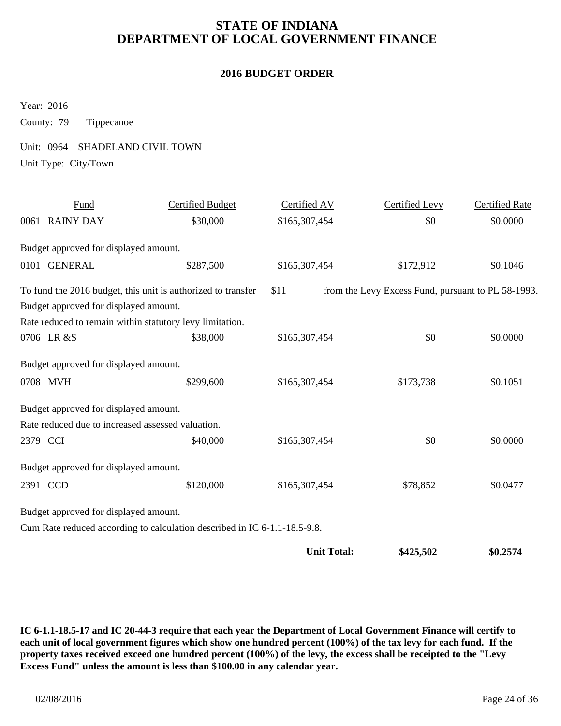#### **2016 BUDGET ORDER**

Year: 2016

County: 79 Tippecanoe

Unit: 0964 SHADELAND CIVIL TOWN Unit Type: City/Town

Fund Certified Budget Certified AV Certified Levy Certified Rate 0061 RAINY DAY \$30,000 \$165,307,454 \$0 \$0.0000 \$0.0000 Budget approved for displayed amount. \$165,307,454 0101 GENERAL \$287,500 \$165,307,454 \$172,912 \$0.1046 Budget approved for displayed amount. Rate reduced to remain within statutory levy limitation. To fund the 2016 budget, this unit is authorized to transfer \$11 from the Levy Excess Fund, pursuant to PL 58-1993. \$165,307,454 0706 LR &S \$38,000 \$165,307,454 \$0 \$0.0000 Budget approved for displayed amount. 0708 MVH \$299,600 \$165,307,454 \$173,738 \$0.1051 Budget approved for displayed amount. Rate reduced due to increased assessed valuation. 2379 CCI \$40,000 \$165,307,454 \$0 \$0.0000 Budget approved for displayed amount. 2391 CCD \$120,000 \$165,307,454 \$78,852 \$0.0477 Budget approved for displayed amount. Cum Rate reduced according to calculation described in IC 6-1.1-18.5-9.8. \$165,307,454 **Unit Total:** \$425,502 \$0.2574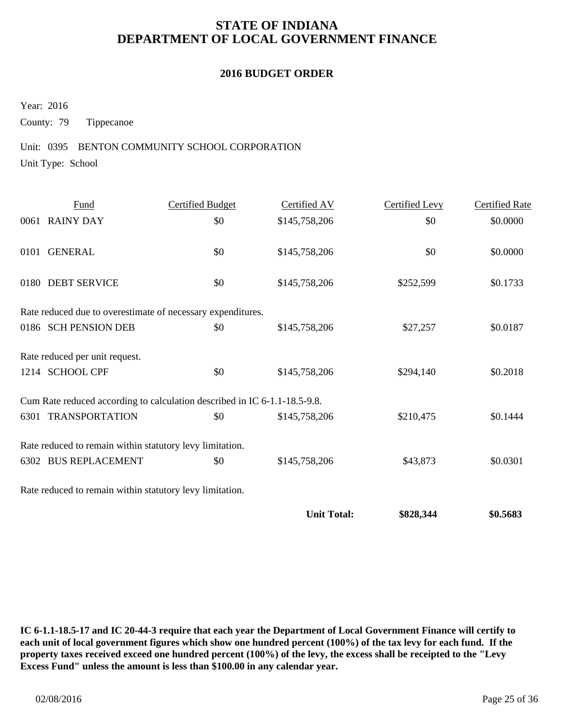#### **2016 BUDGET ORDER**

Year: 2016

County: 79 Tippecanoe

#### Unit: 0395 BENTON COMMUNITY SCHOOL CORPORATION

Unit Type: School

| Fund                                                                      | <b>Certified Budget</b> | Certified AV  | Certified Levy | <b>Certified Rate</b> |  |  |  |
|---------------------------------------------------------------------------|-------------------------|---------------|----------------|-----------------------|--|--|--|
| 0061 RAINY DAY                                                            | \$0                     | \$145,758,206 | \$0            | \$0.0000              |  |  |  |
| 0101 GENERAL                                                              | \$0                     | \$145,758,206 | \$0            | \$0.0000              |  |  |  |
| 0180 DEBT SERVICE                                                         | \$0                     | \$145,758,206 | \$252,599      | \$0.1733              |  |  |  |
| Rate reduced due to overestimate of necessary expenditures.               |                         |               |                |                       |  |  |  |
| 0186 SCH PENSION DEB                                                      | \$0                     | \$145,758,206 | \$27,257       | \$0.0187              |  |  |  |
| Rate reduced per unit request.                                            |                         |               |                |                       |  |  |  |
| 1214 SCHOOL CPF                                                           | \$0                     | \$145,758,206 | \$294,140      | \$0.2018              |  |  |  |
| Cum Rate reduced according to calculation described in IC 6-1.1-18.5-9.8. |                         |               |                |                       |  |  |  |
| 6301 TRANSPORTATION                                                       | \$0                     | \$145,758,206 | \$210,475      | \$0.1444              |  |  |  |
| Rate reduced to remain within statutory levy limitation.                  |                         |               |                |                       |  |  |  |
| 6302 BUS REPLACEMENT                                                      | \$0                     | \$145,758,206 | \$43,873       | \$0.0301              |  |  |  |
| Rate reduced to remain within statutory levy limitation.                  |                         |               |                |                       |  |  |  |

**Unit Total: \$828,344 \$0.5683**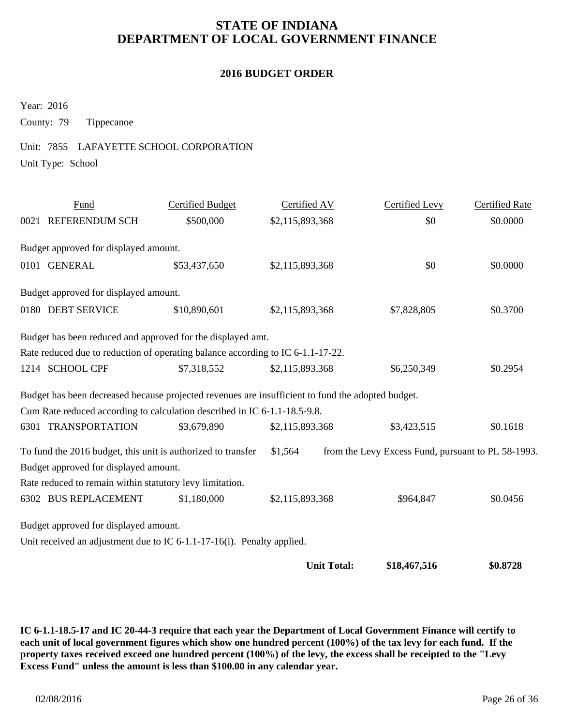#### **2016 BUDGET ORDER**

Year: 2016

County: 79 Tippecanoe

#### Unit: 7855 LAFAYETTE SCHOOL CORPORATION

Unit Type: School

| Fund                                                                                              | <b>Certified Budget</b> | Certified AV       | <b>Certified Levy</b>                              | <b>Certified Rate</b> |
|---------------------------------------------------------------------------------------------------|-------------------------|--------------------|----------------------------------------------------|-----------------------|
| 0021 REFERENDUM SCH                                                                               | \$500,000               | \$2,115,893,368    | \$0                                                | \$0.0000              |
| Budget approved for displayed amount.                                                             |                         |                    |                                                    |                       |
| 0101 GENERAL                                                                                      | \$53,437,650            | \$2,115,893,368    | \$0                                                | \$0.0000              |
| Budget approved for displayed amount.                                                             |                         |                    |                                                    |                       |
| 0180 DEBT SERVICE                                                                                 | \$10,890,601            | \$2,115,893,368    | \$7,828,805                                        | \$0.3700              |
| Budget has been reduced and approved for the displayed amt.                                       |                         |                    |                                                    |                       |
| Rate reduced due to reduction of operating balance according to IC 6-1.1-17-22.                   |                         |                    |                                                    |                       |
| 1214 SCHOOL CPF                                                                                   | \$7,318,552             | \$2,115,893,368    | \$6,250,349                                        | \$0.2954              |
| Budget has been decreased because projected revenues are insufficient to fund the adopted budget. |                         |                    |                                                    |                       |
| Cum Rate reduced according to calculation described in IC 6-1.1-18.5-9.8.                         |                         |                    |                                                    |                       |
| 6301 TRANSPORTATION                                                                               | \$3,679,890             | \$2,115,893,368    | \$3,423,515                                        | \$0.1618              |
| To fund the 2016 budget, this unit is authorized to transfer                                      |                         | \$1,564            | from the Levy Excess Fund, pursuant to PL 58-1993. |                       |
| Budget approved for displayed amount.                                                             |                         |                    |                                                    |                       |
| Rate reduced to remain within statutory levy limitation.                                          |                         |                    |                                                    |                       |
| 6302 BUS REPLACEMENT                                                                              | \$1,180,000             | \$2,115,893,368    | \$964,847                                          | \$0.0456              |
| Budget approved for displayed amount.                                                             |                         |                    |                                                    |                       |
| Unit received an adjustment due to IC 6-1.1-17-16(i). Penalty applied.                            |                         |                    |                                                    |                       |
|                                                                                                   |                         | <b>Unit Total:</b> | \$18,467,516                                       | \$0.8728              |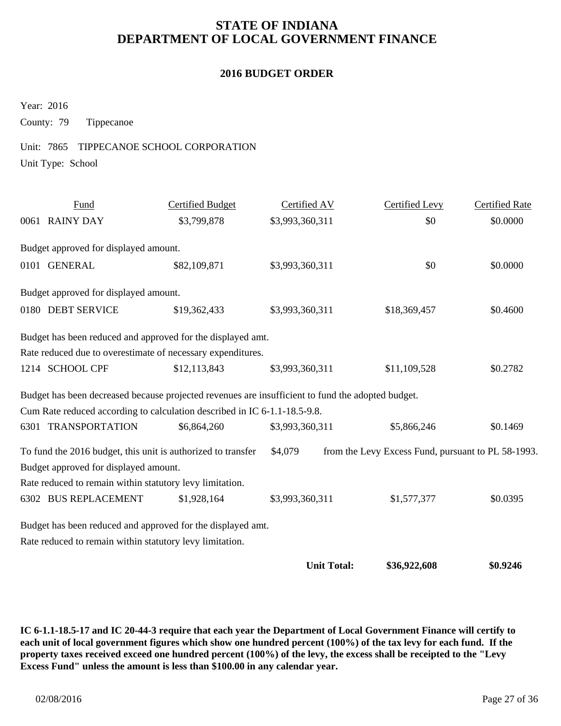#### **2016 BUDGET ORDER**

Year: 2016

County: 79 Tippecanoe

#### Unit: 7865 TIPPECANOE SCHOOL CORPORATION

Unit Type: School

| Fund                                                                                              | <b>Certified Budget</b> | Certified AV    |                    | Certified Levy                                     | <b>Certified Rate</b> |
|---------------------------------------------------------------------------------------------------|-------------------------|-----------------|--------------------|----------------------------------------------------|-----------------------|
| 0061 RAINY DAY                                                                                    | \$3,799,878             | \$3,993,360,311 |                    | \$0                                                | \$0.0000              |
| Budget approved for displayed amount.                                                             |                         |                 |                    |                                                    |                       |
| 0101 GENERAL                                                                                      | \$82,109,871            | \$3,993,360,311 |                    | \$0                                                | \$0.0000              |
| Budget approved for displayed amount.                                                             |                         |                 |                    |                                                    |                       |
| 0180 DEBT SERVICE                                                                                 | \$19,362,433            | \$3,993,360,311 |                    | \$18,369,457                                       | \$0.4600              |
| Budget has been reduced and approved for the displayed amt.                                       |                         |                 |                    |                                                    |                       |
| Rate reduced due to overestimate of necessary expenditures.                                       |                         |                 |                    |                                                    |                       |
| 1214 SCHOOL CPF                                                                                   | \$12,113,843            | \$3,993,360,311 |                    | \$11,109,528                                       | \$0.2782              |
| Budget has been decreased because projected revenues are insufficient to fund the adopted budget. |                         |                 |                    |                                                    |                       |
| Cum Rate reduced according to calculation described in IC 6-1.1-18.5-9.8.                         |                         |                 |                    |                                                    |                       |
| 6301 TRANSPORTATION                                                                               | \$6,864,260             | \$3,993,360,311 |                    | \$5,866,246                                        | \$0.1469              |
| To fund the 2016 budget, this unit is authorized to transfer                                      |                         | \$4,079         |                    | from the Levy Excess Fund, pursuant to PL 58-1993. |                       |
| Budget approved for displayed amount.                                                             |                         |                 |                    |                                                    |                       |
| Rate reduced to remain within statutory levy limitation.                                          |                         |                 |                    |                                                    |                       |
| 6302 BUS REPLACEMENT                                                                              | \$1,928,164             | \$3,993,360,311 |                    | \$1,577,377                                        | \$0.0395              |
| Budget has been reduced and approved for the displayed amt.                                       |                         |                 |                    |                                                    |                       |
| Rate reduced to remain within statutory levy limitation.                                          |                         |                 |                    |                                                    |                       |
|                                                                                                   |                         |                 | <b>Unit Total:</b> | \$36,922,608                                       | \$0.9246              |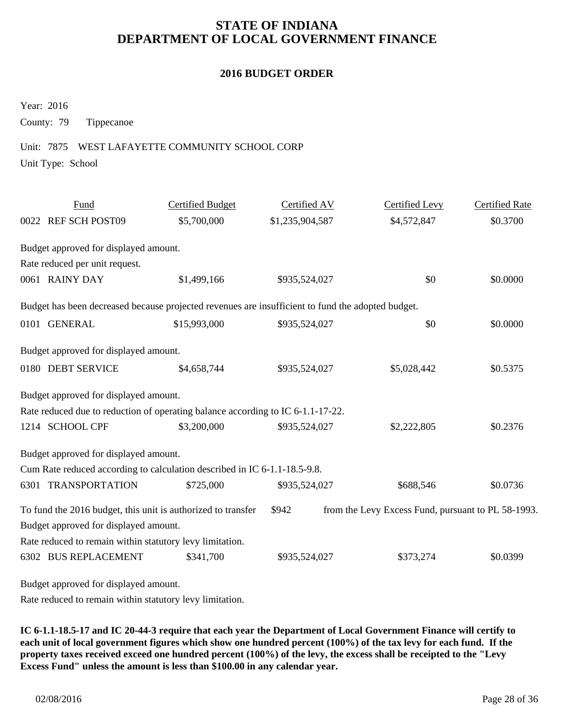#### **2016 BUDGET ORDER**

Year: 2016

County: 79 Tippecanoe

#### Unit: 7875 WEST LAFAYETTE COMMUNITY SCHOOL CORP

Unit Type: School

| Fund                                                                                              | <b>Certified Budget</b> | Certified AV    | Certified Levy                                     | <b>Certified Rate</b> |
|---------------------------------------------------------------------------------------------------|-------------------------|-----------------|----------------------------------------------------|-----------------------|
| 0022 REF SCH POST09                                                                               | \$5,700,000             | \$1,235,904,587 | \$4,572,847                                        | \$0.3700              |
| Budget approved for displayed amount.                                                             |                         |                 |                                                    |                       |
| Rate reduced per unit request.                                                                    |                         |                 |                                                    |                       |
| 0061 RAINY DAY                                                                                    | \$1,499,166             | \$935,524,027   | \$0                                                | \$0.0000              |
| Budget has been decreased because projected revenues are insufficient to fund the adopted budget. |                         |                 |                                                    |                       |
| 0101 GENERAL                                                                                      | \$15,993,000            | \$935,524,027   | \$0                                                | \$0.0000              |
| Budget approved for displayed amount.                                                             |                         |                 |                                                    |                       |
| 0180 DEBT SERVICE                                                                                 | \$4,658,744             | \$935,524,027   | \$5,028,442                                        | \$0.5375              |
| Budget approved for displayed amount.                                                             |                         |                 |                                                    |                       |
| Rate reduced due to reduction of operating balance according to IC 6-1.1-17-22.                   |                         |                 |                                                    |                       |
| 1214 SCHOOL CPF                                                                                   | \$3,200,000             | \$935,524,027   | \$2,222,805                                        | \$0.2376              |
| Budget approved for displayed amount.                                                             |                         |                 |                                                    |                       |
| Cum Rate reduced according to calculation described in IC 6-1.1-18.5-9.8.                         |                         |                 |                                                    |                       |
| 6301 TRANSPORTATION                                                                               | \$725,000               | \$935,524,027   | \$688,546                                          | \$0.0736              |
| To fund the 2016 budget, this unit is authorized to transfer                                      |                         | \$942           | from the Levy Excess Fund, pursuant to PL 58-1993. |                       |
| Budget approved for displayed amount.                                                             |                         |                 |                                                    |                       |
| Rate reduced to remain within statutory levy limitation.                                          |                         |                 |                                                    |                       |
| 6302 BUS REPLACEMENT                                                                              | \$341,700               | \$935,524,027   | \$373,274                                          | \$0.0399              |
| Rudget approved for dividend amount                                                               |                         |                 |                                                    |                       |

Budget approved for displayed amount.

Rate reduced to remain within statutory levy limitation.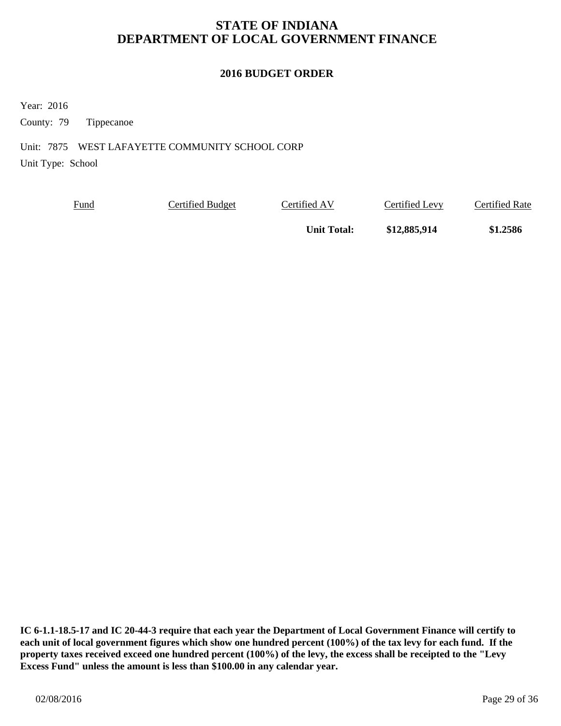#### **2016 BUDGET ORDER**

Year: 2016

County: 79 Tippecanoe

Unit: 7875 WEST LAFAYETTE COMMUNITY SCHOOL CORP

Unit Type: School

| <u>Fund</u> | Certified Budget | Certified AV       | Certified Levy | Certified Rate |
|-------------|------------------|--------------------|----------------|----------------|
|             |                  | <b>Unit Total:</b> | \$12,885,914   | \$1.2586       |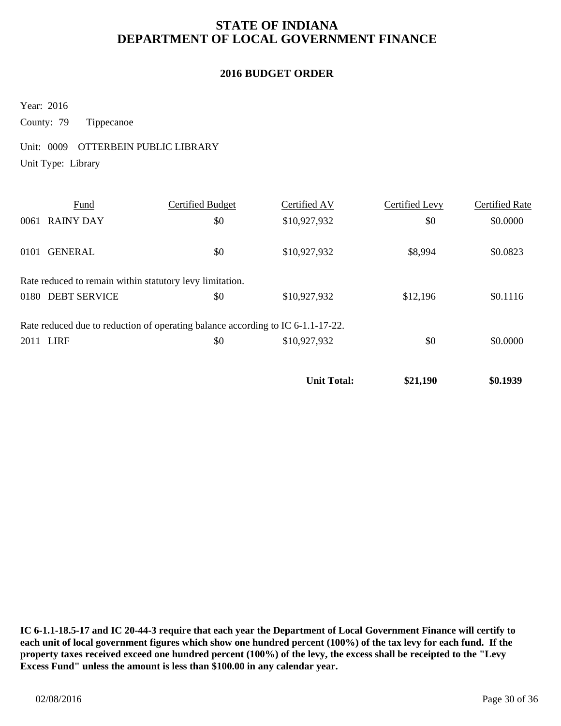#### **2016 BUDGET ORDER**

Year: 2016

County: 79 Tippecanoe

Unit: 0009 OTTERBEIN PUBLIC LIBRARY

Unit Type: Library

|      | Fund                                                                            | Certified Budget | Certified AV       | Certified Levy | <b>Certified Rate</b> |
|------|---------------------------------------------------------------------------------|------------------|--------------------|----------------|-----------------------|
|      | 0061 RAINY DAY                                                                  | \$0              | \$10,927,932       | \$0            | \$0.0000              |
| 0101 | <b>GENERAL</b>                                                                  | \$0              | \$10,927,932       | \$8,994        | \$0.0823              |
|      | Rate reduced to remain within statutory levy limitation.                        |                  |                    |                |                       |
|      | 0180 DEBT SERVICE                                                               | \$0              | \$10,927,932       | \$12,196       | \$0.1116              |
|      | Rate reduced due to reduction of operating balance according to IC 6-1.1-17-22. |                  |                    |                |                       |
|      | 2011 LIRF                                                                       | \$0              | \$10,927,932       | \$0            | \$0.0000              |
|      |                                                                                 |                  | <b>Unit Total:</b> | \$21,190       | \$0.1939              |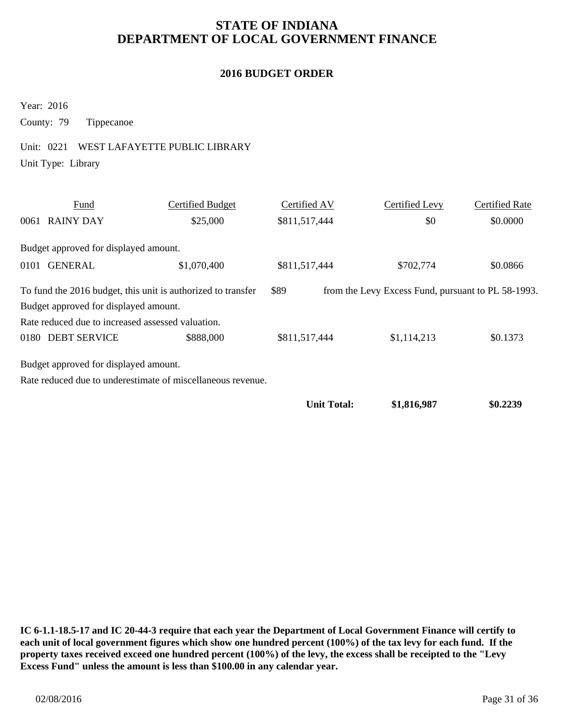#### **2016 BUDGET ORDER**

Year: 2016

County: 79 Tippecanoe

## Unit: 0221 WEST LAFAYETTE PUBLIC LIBRARY

Unit Type: Library

|                                                                                                                            | Fund                                                        | Certified Budget | Certified AV  |  | Certified Levy | <b>Certified Rate</b> |
|----------------------------------------------------------------------------------------------------------------------------|-------------------------------------------------------------|------------------|---------------|--|----------------|-----------------------|
|                                                                                                                            | 0061 RAINY DAY                                              | \$25,000         | \$811,517,444 |  | \$0            | \$0.0000              |
|                                                                                                                            | Budget approved for displayed amount.                       |                  |               |  |                |                       |
| 0101                                                                                                                       | <b>GENERAL</b>                                              | \$1,070,400      | \$811,517,444 |  | \$702,774      | \$0.0866              |
| \$89<br>To fund the 2016 budget, this unit is authorized to transfer<br>from the Levy Excess Fund, pursuant to PL 58-1993. |                                                             |                  |               |  |                |                       |
|                                                                                                                            | Budget approved for displayed amount.                       |                  |               |  |                |                       |
|                                                                                                                            | Rate reduced due to increased assessed valuation.           |                  |               |  |                |                       |
|                                                                                                                            | 0180 DEBT SERVICE                                           | \$888,000        | \$811,517,444 |  | \$1,114,213    | \$0.1373              |
|                                                                                                                            | Budget approved for displayed amount.                       |                  |               |  |                |                       |
|                                                                                                                            | Rate reduced due to underestimate of miscellaneous revenue. |                  |               |  |                |                       |

**Unit Total:** \$1,816,987 \$0.2239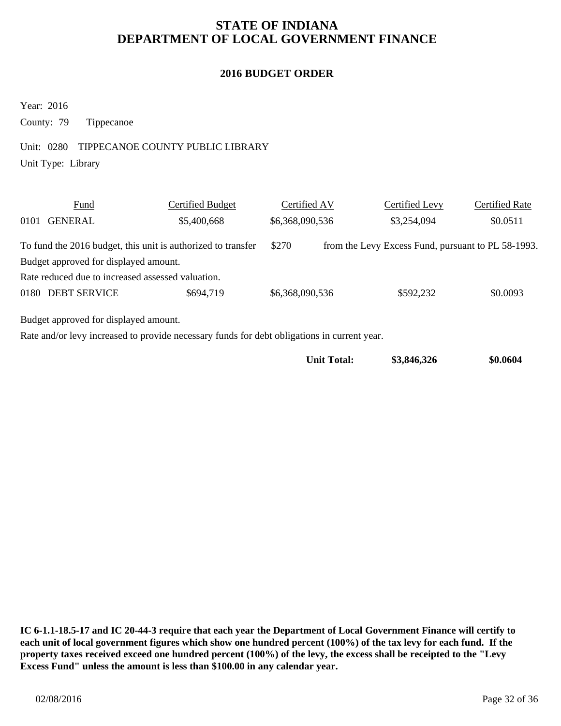#### **2016 BUDGET ORDER**

Year: 2016

County: 79 Tippecanoe

#### Unit: 0280 TIPPECANOE COUNTY PUBLIC LIBRARY

Unit Type: Library

|                                                                                             | Fund                                                         | Certified Budget | Certified AV    |  | Certified Levy                                     | <b>Certified Rate</b> |  |  |
|---------------------------------------------------------------------------------------------|--------------------------------------------------------------|------------------|-----------------|--|----------------------------------------------------|-----------------------|--|--|
| 0101                                                                                        | <b>GENERAL</b>                                               | \$5,400,668      | \$6,368,090,536 |  | \$3,254,094                                        | \$0.0511              |  |  |
|                                                                                             | To fund the 2016 budget, this unit is authorized to transfer |                  | \$270           |  | from the Levy Excess Fund, pursuant to PL 58-1993. |                       |  |  |
|                                                                                             | Budget approved for displayed amount.                        |                  |                 |  |                                                    |                       |  |  |
| Rate reduced due to increased assessed valuation.                                           |                                                              |                  |                 |  |                                                    |                       |  |  |
|                                                                                             | 0180 DEBT SERVICE                                            | \$694,719        | \$6,368,090,536 |  | \$592,232                                          | \$0.0093              |  |  |
| Budget approved for displayed amount.                                                       |                                                              |                  |                 |  |                                                    |                       |  |  |
| Rate and/or levy increased to provide necessary funds for debt obligations in current year. |                                                              |                  |                 |  |                                                    |                       |  |  |

| <b>Unit Total:</b> | \$3,846,326 | \$0.0604 |
|--------------------|-------------|----------|
|--------------------|-------------|----------|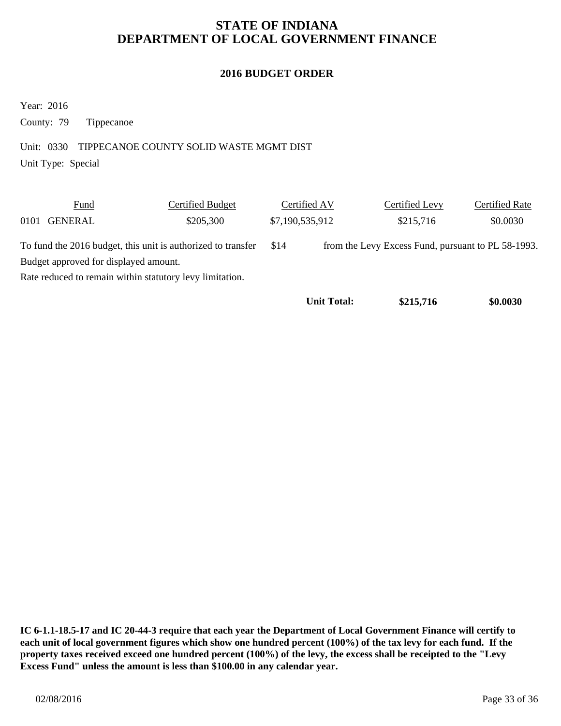#### **2016 BUDGET ORDER**

Year: 2016

County: 79 Tippecanoe

Unit: 0330 TIPPECANOE COUNTY SOLID WASTE MGMT DIST

Unit Type: Special

|                                                              | Fund                                                     | Certified Budget | Certified AV       | Certified Levy                                     | <b>Certified Rate</b> |
|--------------------------------------------------------------|----------------------------------------------------------|------------------|--------------------|----------------------------------------------------|-----------------------|
| 0101                                                         | GENERAL                                                  | \$205,300        | \$7,190,535,912    | \$215,716                                          | \$0.0030              |
| To fund the 2016 budget, this unit is authorized to transfer |                                                          |                  | \$14               | from the Levy Excess Fund, pursuant to PL 58-1993. |                       |
| Budget approved for displayed amount.                        |                                                          |                  |                    |                                                    |                       |
|                                                              | Rate reduced to remain within statutory levy limitation. |                  |                    |                                                    |                       |
|                                                              |                                                          |                  | <b>Unit Total:</b> | \$215,716                                          | \$0.0030              |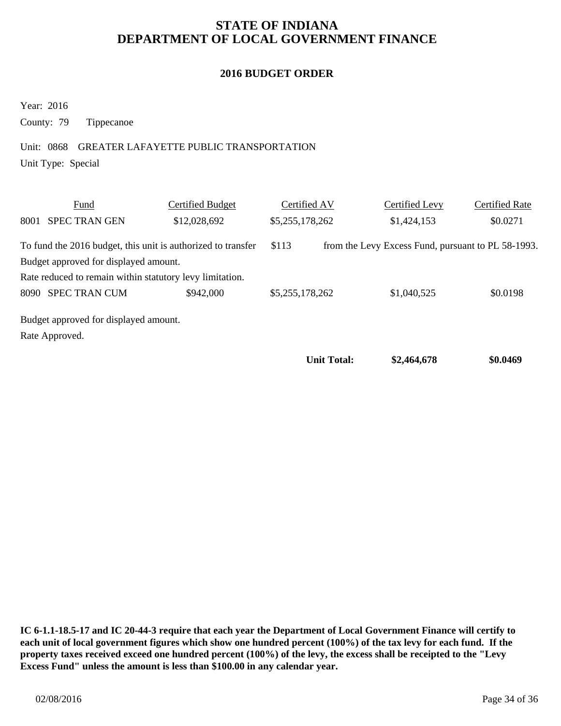#### **2016 BUDGET ORDER**

Year: 2016

County: 79 Tippecanoe

Unit: 0868 GREATER LAFAYETTE PUBLIC TRANSPORTATION

Unit Type: Special

|      | Fund                                                         | Certified Budget | Certified AV    |                    | Certified Levy                                     | Certified Rate |
|------|--------------------------------------------------------------|------------------|-----------------|--------------------|----------------------------------------------------|----------------|
| 8001 | <b>SPEC TRAN GEN</b>                                         | \$12,028,692     | \$5,255,178,262 |                    | \$1,424,153                                        | \$0.0271       |
|      | To fund the 2016 budget, this unit is authorized to transfer |                  | \$113           |                    | from the Levy Excess Fund, pursuant to PL 58-1993. |                |
|      | Budget approved for displayed amount.                        |                  |                 |                    |                                                    |                |
|      | Rate reduced to remain within statutory levy limitation.     |                  |                 |                    |                                                    |                |
|      | 8090 SPEC TRAN CUM                                           | \$942,000        | \$5,255,178,262 |                    | \$1,040,525                                        | \$0.0198       |
|      | Budget approved for displayed amount.                        |                  |                 |                    |                                                    |                |
|      | Rate Approved.                                               |                  |                 |                    |                                                    |                |
|      |                                                              |                  |                 | <b>Unit Total:</b> | \$2,464,678                                        | \$0.0469       |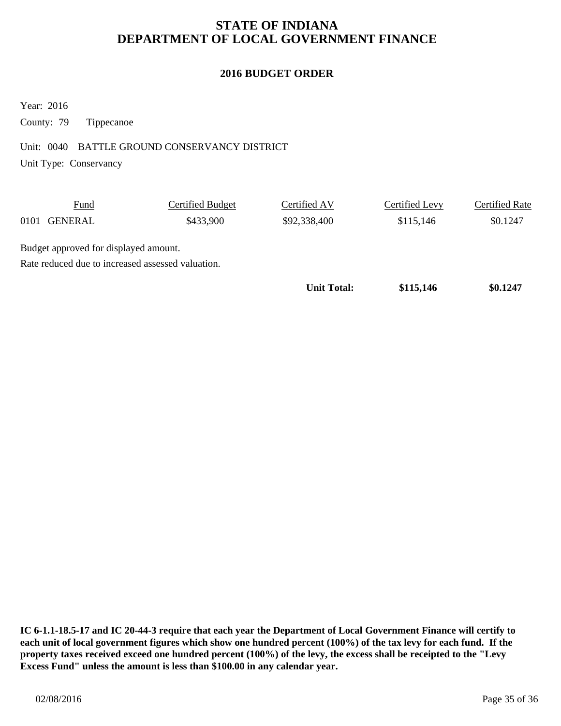#### **2016 BUDGET ORDER**

Year: 2016

County: 79 Tippecanoe

#### Unit: 0040 BATTLE GROUND CONSERVANCY DISTRICT

Unit Type: Conservancy

|                                                   | Fund           | Certified Budget | Certified AV       | Certified Levy | <b>Certified Rate</b> |  |  |
|---------------------------------------------------|----------------|------------------|--------------------|----------------|-----------------------|--|--|
| 0101                                              | <b>GENERAL</b> | \$433,900        | \$92,338,400       | \$115,146      | \$0.1247              |  |  |
| Budget approved for displayed amount.             |                |                  |                    |                |                       |  |  |
| Rate reduced due to increased assessed valuation. |                |                  |                    |                |                       |  |  |
|                                                   |                |                  | <b>Unit Total:</b> | \$115,146      | \$0.1247              |  |  |